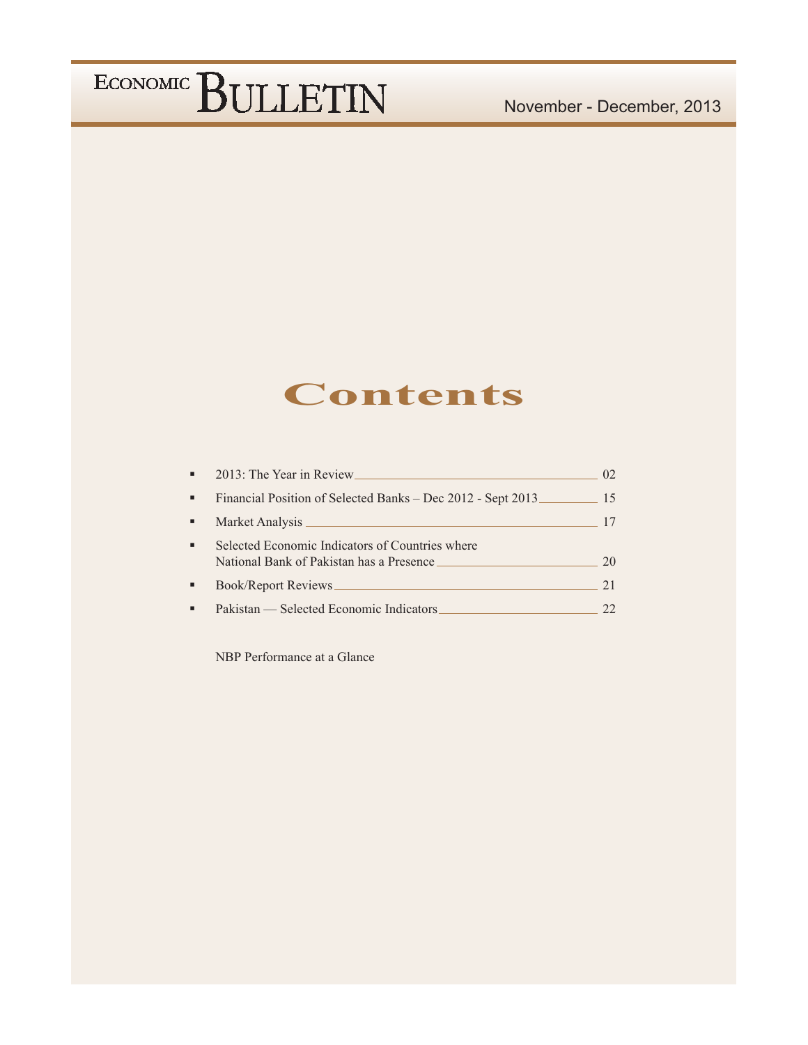### **Contents**

| 2013: The Year in Review                                                                    |    |
|---------------------------------------------------------------------------------------------|----|
| Financial Position of Selected Banks – Dec 2012 - Sept 2013                                 | 15 |
|                                                                                             |    |
| Selected Economic Indicators of Countries where<br>National Bank of Pakistan has a Presence | 20 |
| Book/Report Reviews_                                                                        |    |
| Pakistan — Selected Economic Indicators                                                     |    |

NBP Performance at a Glance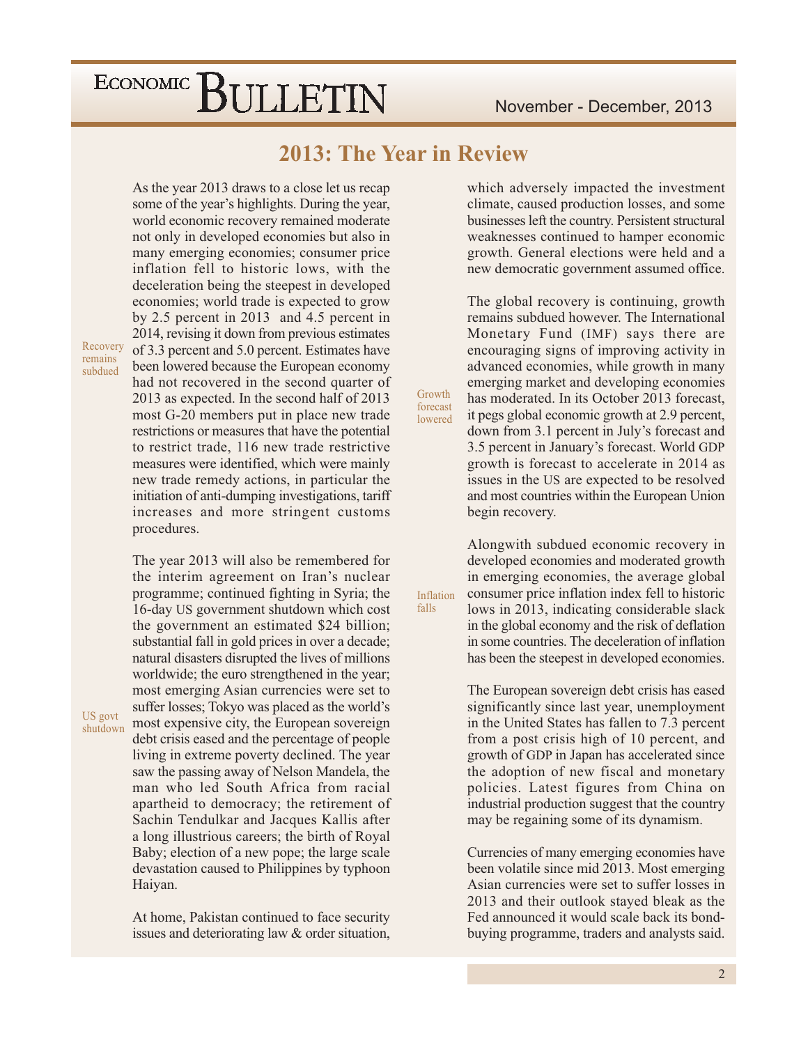### 2013: The Year in Review

Growth

forecast

lowered

Inflation falls

As the year 2013 draws to a close let us recap some of the year's highlights. During the year, world economic recovery remained moderate not only in developed economies but also in many emerging economies; consumer price inflation fell to historic lows, with the deceleration being the steepest in developed economies; world trade is expected to grow by 2.5 percent in 2013 and 4.5 percent in 2014, revising it down from previous estimates of 3.3 percent and 5.0 percent. Estimates have been lowered because the European economy had not recovered in the second quarter of 2013 as expected. In the second half of 2013 most G-20 members put in place new trade restrictions or measures that have the potential to restrict trade, 116 new trade restrictive measures were identified, which were mainly new trade remedy actions, in particular the initiation of anti-dumping investigations, tariff increases and more stringent customs procedures.

The year 2013 will also be remembered for the interim agreement on Iran's nuclear programme; continued fighting in Syria; the 16-day US government shutdown which cost the government an estimated \$24 billion; substantial fall in gold prices in over a decade; natural disasters disrupted the lives of millions worldwide; the euro strengthened in the year; most emerging Asian currencies were set to suffer losses; Tokyo was placed as the world's most expensive city, the European sovereign debt crisis eased and the percentage of people living in extreme poverty declined. The year saw the passing away of Nelson Mandela, the man who led South Africa from racial apartheid to democracy; the retirement of Sachin Tendulkar and Jacques Kallis after a long illustrious careers; the birth of Royal Baby; election of a new pope; the large scale devastation caused to Philippines by typhoon Haiyan.

At home, Pakistan continued to face security issues and deteriorating law & order situation,

which adversely impacted the investment climate, caused production losses, and some businesses left the country. Persistent structural weaknesses continued to hamper economic growth. General elections were held and a new democratic government assumed office.

The global recovery is continuing, growth remains subdued however. The International Monetary Fund (IMF) says there are encouraging signs of improving activity in advanced economies, while growth in many emerging market and developing economies has moderated. In its October 2013 forecast, it pegs global economic growth at 2.9 percent, down from 3.1 percent in July's forecast and 3.5 percent in January's forecast. World GDP growth is forecast to accelerate in 2014 as issues in the US are expected to be resolved and most countries within the European Union begin recovery.

Alongwith subdued economic recovery in developed economies and moderated growth in emerging economies, the average global consumer price inflation index fell to historic lows in 2013, indicating considerable slack in the global economy and the risk of deflation in some countries. The deceleration of inflation has been the steepest in developed economies.

The European sovereign debt crisis has eased significantly since last year, unemployment in the United States has fallen to 7.3 percent from a post crisis high of 10 percent, and growth of GDP in Japan has accelerated since the adoption of new fiscal and monetary policies. Latest figures from China on industrial production suggest that the country may be regaining some of its dynamism.

Currencies of many emerging economies have been volatile since mid 2013. Most emerging Asian currencies were set to suffer losses in 2013 and their outlook stayed bleak as the Fed announced it would scale back its bondbuying programme, traders and analysts said.

Recovery remains subdued

US govt shutdown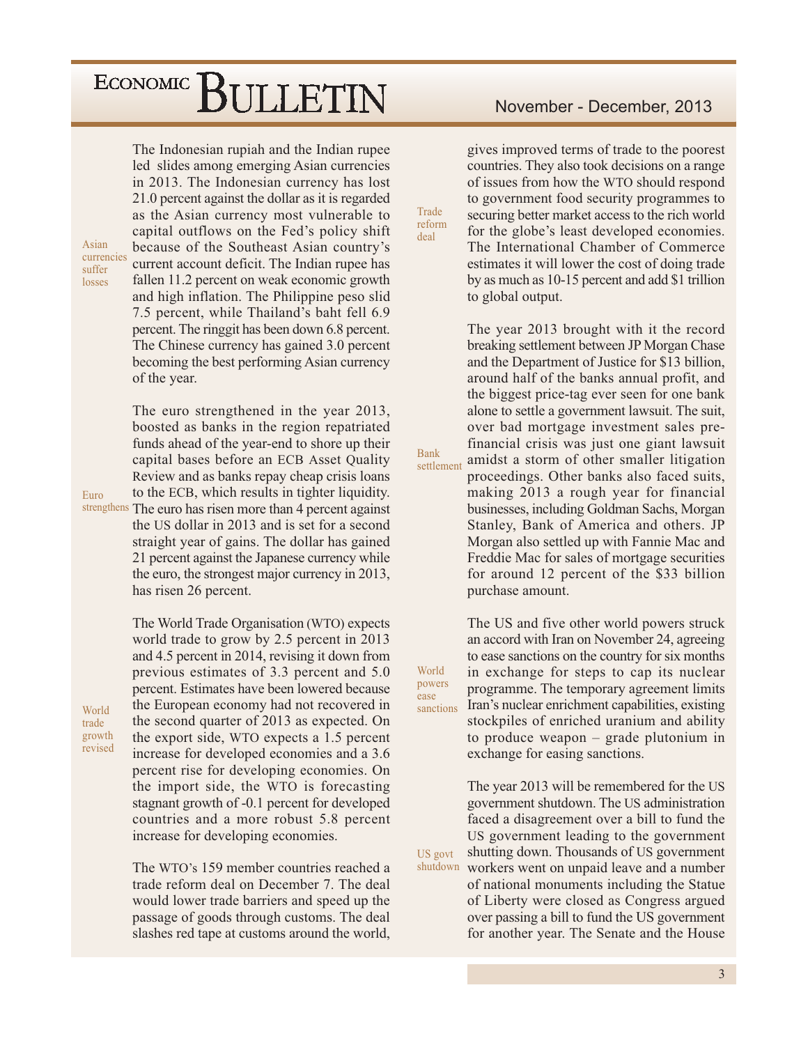The Indonesian rupiah and the Indian rupee led slides among emerging Asian currencies in 2013. The Indonesian currency has lost 21.0 percent against the dollar as it is regarded as the Asian currency most vulnerable to capital outflows on the Fed's policy shift because of the Southeast Asian country's current account deficit. The Indian rupee has fallen 11.2 percent on weak economic growth and high inflation. The Philippine peso slid 7.5 percent, while Thailand's baht fell 6.9 percent. The ringgit has been down 6.8 percent. The Chinese currency has gained 3.0 percent becoming the best performing Asian currency of the year.

The euro strengthened in the year 2013, boosted as banks in the region repatriated funds ahead of the year-end to shore up their capital bases before an ECB Asset Ouality Review and as banks repay cheap crisis loans to the ECB, which results in tighter liquidity. strengthens The euro has risen more than 4 percent against the US dollar in 2013 and is set for a second straight year of gains. The dollar has gained 21 percent against the Japanese currency while the euro, the strongest major currency in 2013, has risen 26 percent.

> The World Trade Organisation (WTO) expects world trade to grow by 2.5 percent in 2013 and 4.5 percent in 2014, revising it down from previous estimates of 3.3 percent and 5.0 percent. Estimates have been lowered because the European economy had not recovered in the second quarter of 2013 as expected. On the export side, WTO expects a 1.5 percent increase for developed economies and a 3.6 percent rise for developing economies. On the import side, the WTO is forecasting stagnant growth of -0.1 percent for developed countries and a more robust 5.8 percent increase for developing economies.

> The WTO's 159 member countries reached a trade reform deal on December 7. The deal would lower trade barriers and speed up the passage of goods through customs. The deal slashes red tape at customs around the world,

November - December, 2013

gives improved terms of trade to the poorest countries. They also took decisions on a range of issues from how the WTO should respond to government food security programmes to securing better market access to the rich world for the globe's least developed economies. The International Chamber of Commerce estimates it will lower the cost of doing trade by as much as 10-15 percent and add \$1 trillion to global output.

The year 2013 brought with it the record breaking settlement between JP Morgan Chase and the Department of Justice for \$13 billion, around half of the banks annual profit, and the biggest price-tag ever seen for one bank alone to settle a government lawsuit. The suit, over bad mortgage investment sales prefinancial crisis was just one giant lawsuit amidst a storm of other smaller litigation settlement proceedings. Other banks also faced suits, making 2013 a rough year for financial businesses, including Goldman Sachs, Morgan Stanley, Bank of America and others. JP Morgan also settled up with Fannie Mac and Freddie Mac for sales of mortgage securities for around 12 percent of the \$33 billion purchase amount.

World powers sanctions

Trade

reform

deal

**Bank** 

ease

US govt

The US and five other world powers struck an accord with Iran on November 24, agreeing to ease sanctions on the country for six months in exchange for steps to cap its nuclear programme. The temporary agreement limits Iran's nuclear enrichment capabilities, existing stockpiles of enriched uranium and ability to produce weapon – grade plutonium in exchange for easing sanctions.

The year 2013 will be remembered for the US government shutdown. The US administration faced a disagreement over a bill to fund the US government leading to the government shutting down. Thousands of US government shutdown workers went on unpaid leave and a number of national monuments including the Statue

of Liberty were closed as Congress argued over passing a bill to fund the US government for another year. The Senate and the House

World trade growth revised

Asian

suffer

losses

Euro

currencies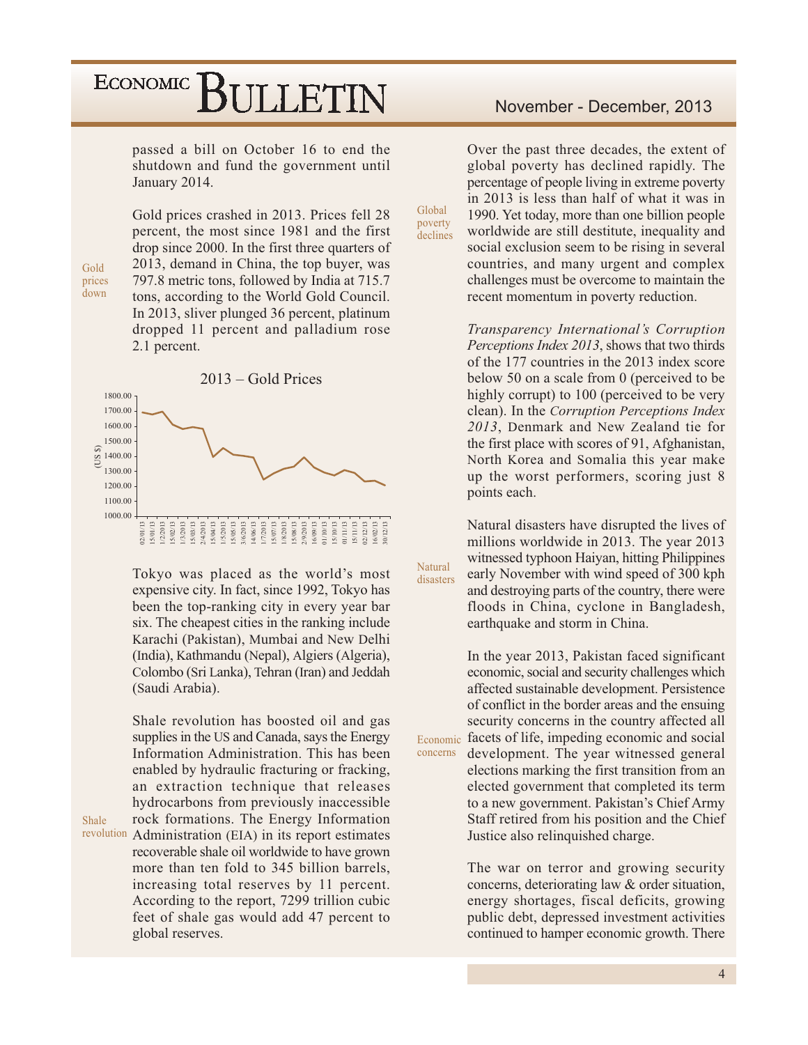passed a bill on October 16 to end the shutdown and fund the government until January 2014.

Gold prices crashed in 2013. Prices fell 28 percent, the most since 1981 and the first drop since 2000. In the first three quarters of 2013, demand in China, the top buyer, was 797.8 metric tons, followed by India at 715.7 tons, according to the World Gold Council. In 2013, sliver plunged 36 percent, platinum dropped 11 percent and palladium rose 2.1 percent.



Tokyo was placed as the world's most expensive city. In fact, since 1992, Tokyo has been the top-ranking city in every year bar six. The cheapest cities in the ranking include Karachi (Pakistan), Mumbai and New Delhi (India), Kathmandu (Nepal), Algiers (Algeria), Colombo (Sri Lanka), Tehran (Iran) and Jeddah (Saudi Arabia).

Shale revolution has boosted oil and gas supplies in the US and Canada, says the Energy Information Administration. This has been enabled by hydraulic fracturing or fracking, an extraction technique that releases hydrocarbons from previously inaccessible rock formations. The Energy Information revolution Administration (EIA) in its report estimates recoverable shale oil worldwide to have grown more than ten fold to 345 billion barrels, increasing total reserves by 11 percent. According to the report, 7299 trillion cubic feet of shale gas would add 47 percent to

Over the past three decades, the extent of global poverty has declined rapidly. The percentage of people living in extreme poverty in 2013 is less than half of what it was in 1990. Yet today, more than one billion people worldwide are still destitute, inequality and social exclusion seem to be rising in several countries, and many urgent and complex challenges must be overcome to maintain the recent momentum in poverty reduction.

Global

poverty

declines

Natural

disasters

concerns

Transparency International's Corruption Perceptions Index 2013, shows that two thirds of the 177 countries in the 2013 index score below 50 on a scale from 0 (perceived to be highly corrupt) to 100 (perceived to be very clean). In the *Corruption Perceptions Index* 2013, Denmark and New Zealand tie for the first place with scores of 91, Afghanistan, North Korea and Somalia this year make up the worst performers, scoring just 8 points each.

Natural disasters have disrupted the lives of millions worldwide in 2013. The year 2013 witnessed typhoon Haiyan, hitting Philippines early November with wind speed of 300 kph and destroying parts of the country, there were floods in China, cyclone in Bangladesh, earthquake and storm in China.

In the year 2013, Pakistan faced significant economic, social and security challenges which affected sustainable development. Persistence of conflict in the border areas and the ensuing security concerns in the country affected all Economic facets of life, impeding economic and social development. The year witnessed general elections marking the first transition from an

elected government that completed its term to a new government. Pakistan's Chief Army Staff retired from his position and the Chief Justice also relinquished charge.

The war on terror and growing security concerns, deteriorating law & order situation, energy shortages, fiscal deficits, growing public debt, depressed investment activities continued to hamper economic growth. There

Shale

global reserves.

Gold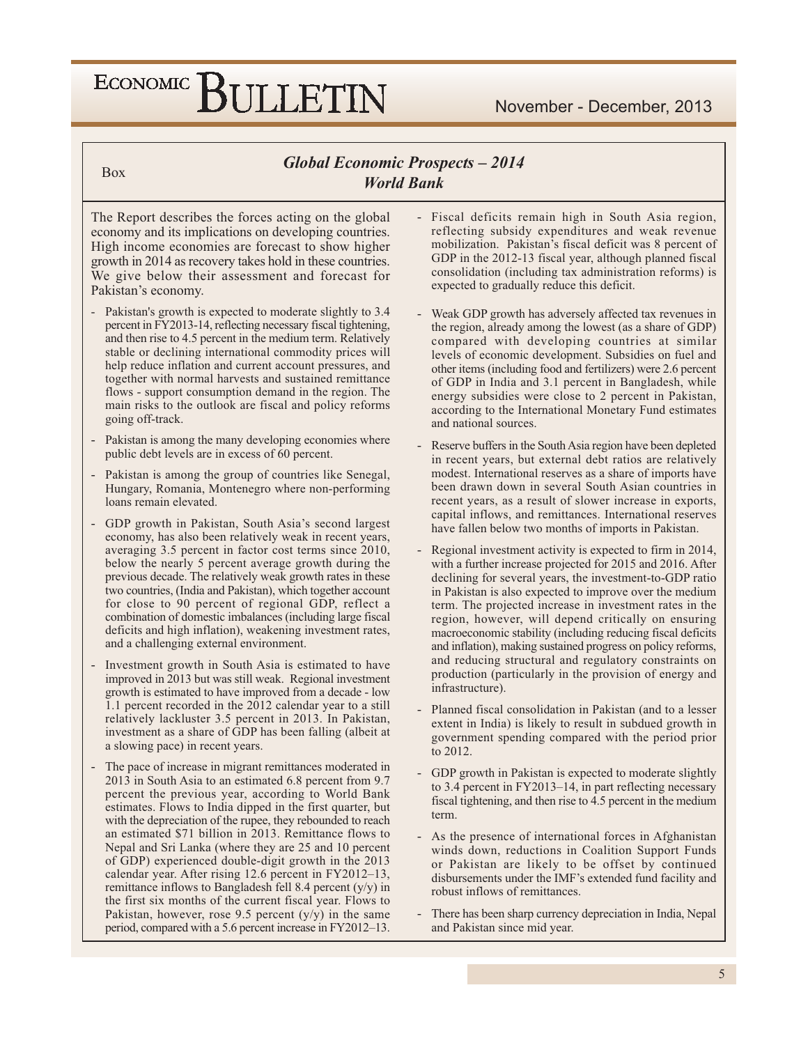**Box** 

### **Global Economic Prospects - 2014 World Bank**

The Report describes the forces acting on the global economy and its implications on developing countries. High income economies are forecast to show higher growth in 2014 as recovery takes hold in these countries. We give below their assessment and forecast for Pakistan's economy.

- Pakistan's growth is expected to moderate slightly to 3.4 percent in FY2013-14, reflecting necessary fiscal tightening, and then rise to 4.5 percent in the medium term. Relatively stable or declining international commodity prices will help reduce inflation and current account pressures, and together with normal harvests and sustained remittance flows - support consumption demand in the region. The main risks to the outlook are fiscal and policy reforms going off-track.
- Pakistan is among the many developing economies where public debt levels are in excess of 60 percent.
- Pakistan is among the group of countries like Senegal, Hungary, Romania, Montenegro where non-performing loans remain elevated.
- GDP growth in Pakistan, South Asia's second largest economy, has also been relatively weak in recent years, averaging 3.5 percent in factor cost terms since 2010, below the nearly 5 percent average growth during the previous decade. The relatively weak growth rates in these two countries, (India and Pakistan), which together account for close to 90 percent of regional GDP, reflect a combination of domestic imbalances (including large fiscal deficits and high inflation), weakening investment rates, and a challenging external environment.
- Investment growth in South Asia is estimated to have improved in 2013 but was still weak. Regional investment growth is estimated to have improved from a decade - low 1.1 percent recorded in the 2012 calendar year to a still relatively lackluster 3.5 percent in 2013. In Pakistan, investment as a share of GDP has been falling (albeit at a slowing pace) in recent years.
- The pace of increase in migrant remittances moderated in 2013 in South Asia to an estimated 6.8 percent from 9.7 percent the previous year, according to World Bank estimates. Flows to India dipped in the first quarter, but with the depreciation of the rupee, they rebounded to reach an estimated \$71 billion in 2013. Remittance flows to Nepal and Sri Lanka (where they are 25 and 10 percent of GDP) experienced double-digit growth in the 2013 calendar year. After rising 12.6 percent in FY2012–13, remittance inflows to Bangladesh fell 8.4 percent  $(y/y)$  in the first six months of the current fiscal year. Flows to Pakistan, however, rose 9.5 percent  $(y/y)$  in the same period, compared with a 5.6 percent increase in FY2012-13.
- Fiscal deficits remain high in South Asia region, reflecting subsidy expenditures and weak revenue mobilization. Pakistan's fiscal deficit was 8 percent of GDP in the 2012-13 fiscal year, although planned fiscal consolidation (including tax administration reforms) is expected to gradually reduce this deficit.
- Weak GDP growth has adversely affected tax revenues in the region, already among the lowest (as a share of GDP) compared with developing countries at similar levels of economic development. Subsidies on fuel and other items (including food and fertilizers) were 2.6 percent of GDP in India and 3.1 percent in Bangladesh, while energy subsidies were close to 2 percent in Pakistan, according to the International Monetary Fund estimates and national sources.
- Reserve buffers in the South Asia region have been depleted in recent years, but external debt ratios are relatively modest. International reserves as a share of imports have been drawn down in several South Asian countries in recent years, as a result of slower increase in exports, capital inflows, and remittances. International reserves have fallen below two months of imports in Pakistan.
- Regional investment activity is expected to firm in 2014, with a further increase projected for 2015 and 2016. After declining for several years, the investment-to-GDP ratio in Pakistan is also expected to improve over the medium term. The projected increase in investment rates in the region, however, will depend critically on ensuring macroeconomic stability (including reducing fiscal deficits and inflation), making sustained progress on policy reforms, and reducing structural and regulatory constraints on production (particularly in the provision of energy and infrastructure).
- Planned fiscal consolidation in Pakistan (and to a lesser extent in India) is likely to result in subdued growth in government spending compared with the period prior to 2012.
- GDP growth in Pakistan is expected to moderate slightly to 3.4 percent in FY2013–14, in part reflecting necessary fiscal tightening, and then rise to 4.5 percent in the medium term.
- As the presence of international forces in Afghanistan winds down, reductions in Coalition Support Funds or Pakistan are likely to be offset by continued disbursements under the IMF's extended fund facility and robust inflows of remittances.
- There has been sharp currency depreciation in India, Nepal and Pakistan since mid year.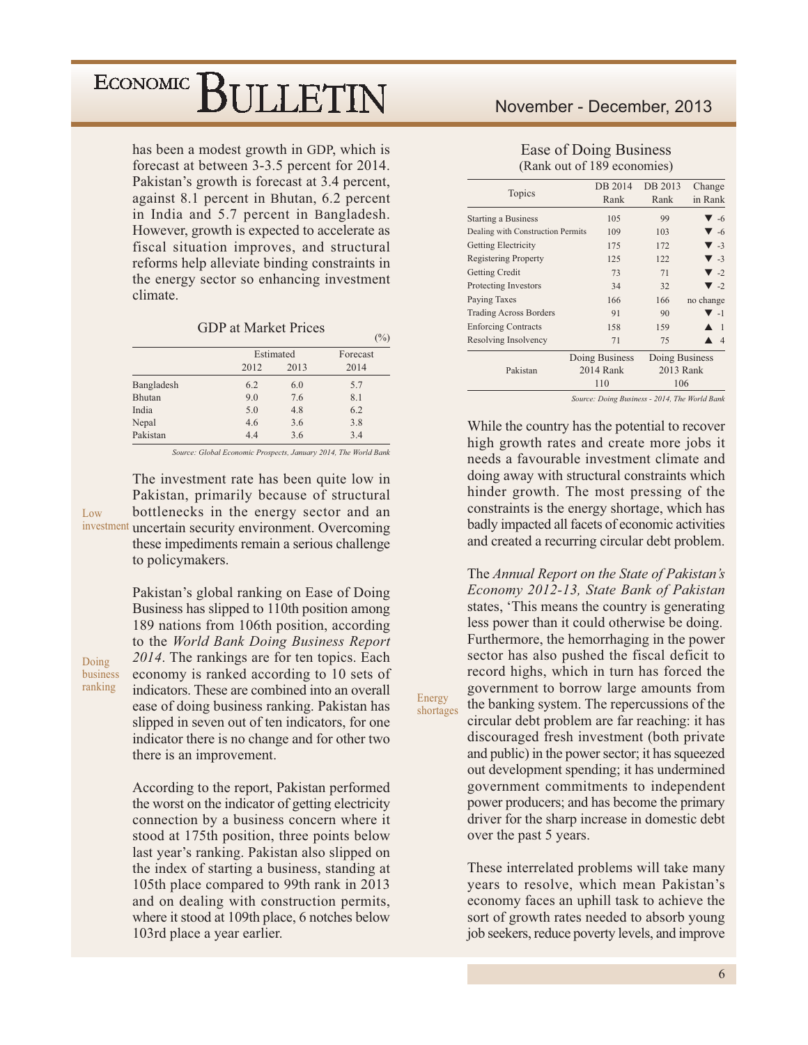has been a modest growth in GDP, which is forecast at between 3-3.5 percent for 2014. Pakistan's growth is forecast at 3.4 percent, against 8.1 percent in Bhutan, 6.2 percent in India and 5.7 percent in Bangladesh. However, growth is expected to accelerate as fiscal situation improves, and structural reforms help alleviate binding constraints in the energy sector so enhancing investment climate.

**GDP** at Market Prices

 $(9/0)$ 

Energy

shortages

|            |      |           | . .      |
|------------|------|-----------|----------|
|            |      | Estimated | Forecast |
|            | 2012 | 2013      | 2014     |
| Bangladesh | 6.2  | 6.0       | 5.7      |
| Bhutan     | 9.0  | 7.6       | 8.1      |
| India      | 5.0  | 4.8       | 6.2      |
| Nepal      | 4.6  | 3.6       | 3.8      |
| Pakistan   | 4.4  | 3.6       | 3.4      |

Source: Global Economic Prospects, January 2014, The World Bank

The investment rate has been quite low in Pakistan, primarily because of structural bottlenecks in the energy sector and an  $\overline{L}$   $\alpha w$ investment uncertain security environment. Overcoming these impediments remain a serious challenge to policymakers.

> Pakistan's global ranking on Ease of Doing Business has slipped to 110th position among 189 nations from 106th position, according to the World Bank Doing Business Report 2014. The rankings are for ten topics. Each economy is ranked according to 10 sets of indicators. These are combined into an overall ease of doing business ranking. Pakistan has slipped in seven out of ten indicators, for one indicator there is no change and for other two there is an improvement.

> According to the report, Pakistan performed the worst on the indicator of getting electricity connection by a business concern where it stood at 175th position, three points below last year's ranking. Pakistan also slipped on the index of starting a business, standing at 105th place compared to 99th rank in 2013 and on dealing with construction permits, where it stood at 109th place, 6 notches below 103rd place a year earlier.

### November - December, 2013

Ease of Doing Business (Rank out of 189 economies)

| Topics                            | DB 2014<br>Rank | DB 2013<br>Rank | Change<br>in Rank       |
|-----------------------------------|-----------------|-----------------|-------------------------|
| <b>Starting a Business</b>        | 105             | 99              | $\blacktriangledown$ -6 |
| Dealing with Construction Permits | 109             | 103             | $\blacktriangledown$ -6 |
| Getting Electricity               | 175             | 172             | $\blacktriangledown$ -3 |
| <b>Registering Property</b>       | 125             | 122             | $\blacktriangledown$ -3 |
| Getting Credit                    | 73              | 71              | $\blacktriangledown$ -2 |
| Protecting Investors              | 34              | 32              | $\blacktriangledown$ -2 |
| Paying Taxes                      | 166             | 166             | no change               |
| <b>Trading Across Borders</b>     | 91              | 90              | $\blacktriangledown$ -1 |
| <b>Enforcing Contracts</b>        | 158             | 159             | $\overline{1}$          |
| Resolving Insolvency              | 71              | 75              | $\overline{4}$          |
|                                   | Doing Business  | Doing Business  |                         |
| Pakistan                          | 2014 Rank       | 2013 Rank       |                         |
|                                   | 110             | 106             |                         |

Source: Doing Business - 2014, The World Bank

While the country has the potential to recover high growth rates and create more jobs it needs a favourable investment climate and doing away with structural constraints which hinder growth. The most pressing of the constraints is the energy shortage, which has badly impacted all facets of economic activities and created a recurring circular debt problem.

The Annual Report on the State of Pakistan's Economy 2012-13, State Bank of Pakistan states, 'This means the country is generating less power than it could otherwise be doing. Furthermore, the hemorrhaging in the power sector has also pushed the fiscal deficit to record highs, which in turn has forced the government to borrow large amounts from the banking system. The repercussions of the circular debt problem are far reaching: it has discouraged fresh investment (both private and public) in the power sector; it has squeezed out development spending; it has undermined government commitments to independent power producers; and has become the primary driver for the sharp increase in domestic debt over the past 5 years.

These interrelated problems will take many years to resolve, which mean Pakistan's economy faces an uphill task to achieve the sort of growth rates needed to absorb young job seekers, reduce poverty levels, and improve

Doing business ranking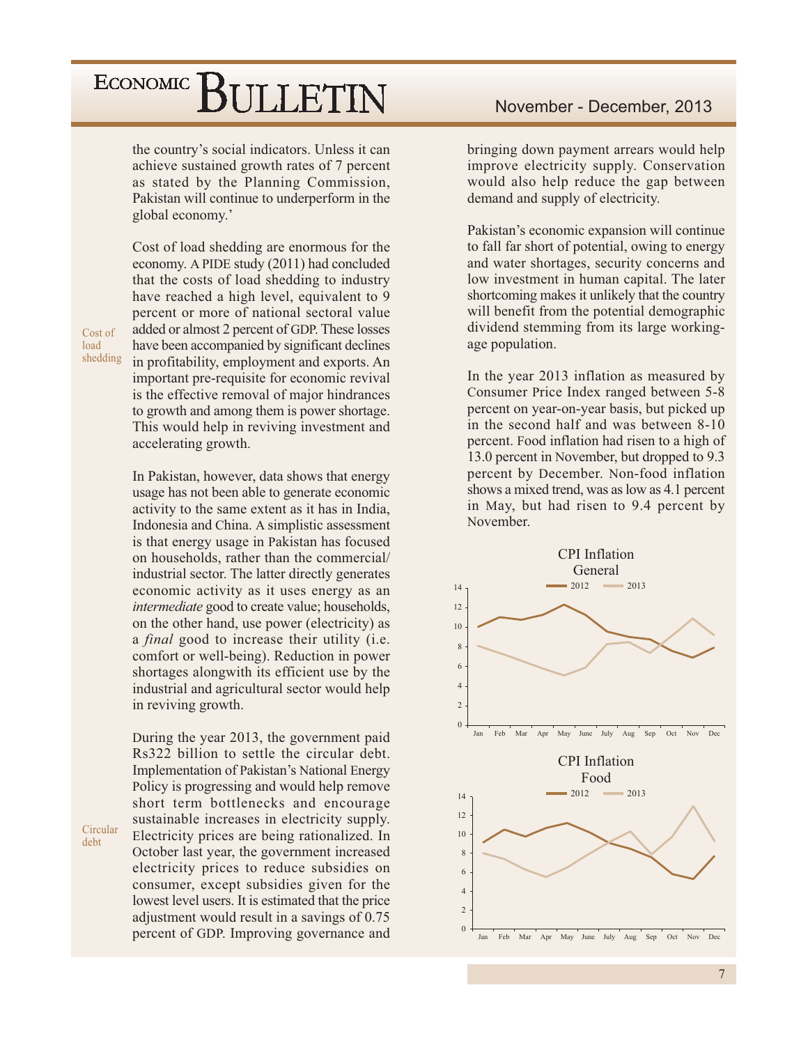the country's social indicators. Unless it can achieve sustained growth rates of 7 percent as stated by the Planning Commission, Pakistan will continue to underperform in the global economy.'

Cost of load shedding are enormous for the economy. A PIDE study (2011) had concluded that the costs of load shedding to industry have reached a high level, equivalent to 9 percent or more of national sectoral value added or almost 2 percent of GDP. These losses have been accompanied by significant declines in profitability, employment and exports. An important pre-requisite for economic revival is the effective removal of major hindrances to growth and among them is power shortage. This would help in reviving investment and accelerating growth.

In Pakistan, however, data shows that energy usage has not been able to generate economic activity to the same extent as it has in India, Indonesia and China. A simplistic assessment is that energy usage in Pakistan has focused on households, rather than the commercial/ industrial sector. The latter directly generates economic activity as it uses energy as an *intermediate* good to create value; households, on the other hand, use power (electricity) as a *final* good to increase their utility (i.e. comfort or well-being). Reduction in power shortages alongwith its efficient use by the industrial and agricultural sector would help in reviving growth.

During the year 2013, the government paid Rs322 billion to settle the circular debt. Implementation of Pakistan's National Energy Policy is progressing and would help remove short term bottlenecks and encourage sustainable increases in electricity supply. Electricity prices are being rationalized. In October last year, the government increased electricity prices to reduce subsidies on consumer, except subsidies given for the lowest level users. It is estimated that the price adjustment would result in a savings of 0.75 percent of GDP. Improving governance and

bringing down payment arrears would help improve electricity supply. Conservation would also help reduce the gap between demand and supply of electricity.

Pakistan's economic expansion will continue to fall far short of potential, owing to energy and water shortages, security concerns and low investment in human capital. The later shortcoming makes it unlikely that the country will benefit from the potential demographic dividend stemming from its large workingage population.

In the year 2013 inflation as measured by Consumer Price Index ranged between 5-8 percent on year-on-year basis, but picked up in the second half and was between 8-10 percent. Food inflation had risen to a high of 13.0 percent in November, but dropped to 9.3 percent by December. Non-food inflation shows a mixed trend, was as low as 4.1 percent in May, but had risen to 9.4 percent by November.



Cost of load shedding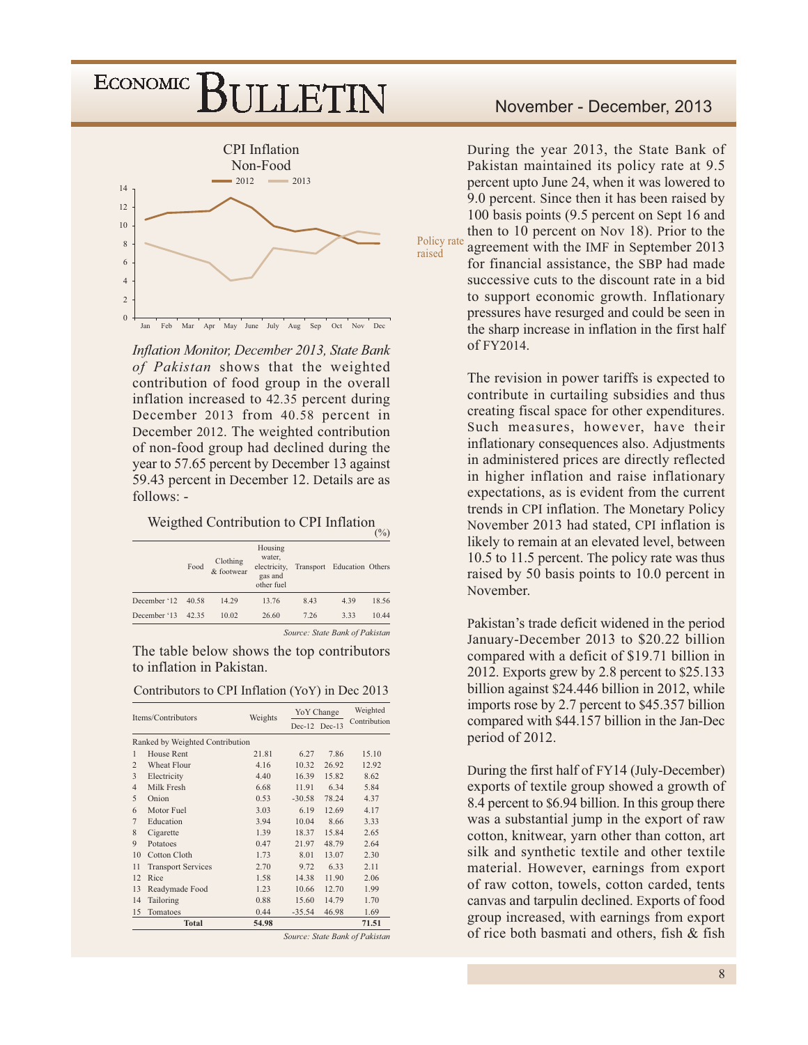### ECONOMIC<sup>]</sup> BULLETIN



Inflation Monitor, December 2013, State Bank of Pakistan shows that the weighted contribution of food group in the overall inflation increased to 42.35 percent during December 2013 from 40.58 percent in December 2012. The weighted contribution of non-food group had declined during the year to 57.65 percent by December 13 against 59.43 percent in December 12. Details are as  $follows: -$ 

Weigthed Contribution to CPI Inflation

|              | Food  | Clothing<br>& footwear | Housing<br>water.<br>electricity,<br>gas and<br>other fuel |                                | Transport Education Others | $\sqrt{2}$ |
|--------------|-------|------------------------|------------------------------------------------------------|--------------------------------|----------------------------|------------|
| December '12 | 40.58 | 14.29                  | 13.76                                                      | 8.43                           | 4.39                       | 18.56      |
| December '13 | 42.35 | 10.02                  | 26.60                                                      | 7.26                           | 3.33                       | 10.44      |
|              |       |                        |                                                            | Source: State Bank of Pakistan |                            |            |

The table below shows the top contributors to inflation in Pakistan.

| Contributors to CPI Inflation (YoY) in Dec 2013 |  |
|-------------------------------------------------|--|
|-------------------------------------------------|--|

| Items/Contributors             |                                 | Weights | YoY Change |               | Weighted     |  |
|--------------------------------|---------------------------------|---------|------------|---------------|--------------|--|
|                                |                                 |         |            | Dec-12 Dec-13 | Contribution |  |
|                                | Ranked by Weighted Contribution |         |            |               |              |  |
| 1                              | House Rent                      | 21.81   | 6.27       | 7.86          | 15.10        |  |
| $\overline{c}$                 | Wheat Flour                     | 4.16    | 10.32      | 26.92         | 12.92        |  |
| 3                              | Electricity                     | 4.40    | 16.39      | 15.82         | 8.62         |  |
| $\overline{4}$                 | Milk Fresh                      | 6.68    | 11.91      | 6.34          | 5.84         |  |
| 5                              | Onion                           | 0.53    | $-30.58$   | 78.24         | 4.37         |  |
| 6                              | Motor Fuel                      | 3.03    | 6.19       | 12.69         | 4.17         |  |
| 7                              | Education                       | 3.94    | 10.04      | 8.66          | 3.33         |  |
| 8                              | Cigarette                       | 1.39    | 18.37      | 15.84         | 2.65         |  |
| $\mathbf{Q}$                   | Potatoes                        | 0.47    | 21.97      | 48.79         | 2.64         |  |
| 10                             | Cotton Cloth                    | 1.73    | 8.01       | 13.07         | 2.30         |  |
| 11                             | <b>Transport Services</b>       | 2.70    | 9.72       | 6.33          | 2.11         |  |
| 12                             | Rice                            | 1.58    | 14.38      | 11.90         | 2.06         |  |
| 13                             | Readymade Food                  | 1.23    | 10.66      | 12.70         | 1.99         |  |
| 14                             | Tailoring                       | 0.88    | 15.60      | 14.79         | 1.70         |  |
| 15                             | Tomatoes                        | 0.44    | $-35.54$   | 46.98         | 1.69         |  |
|                                | <b>Total</b>                    | 54.98   |            |               | 71.51        |  |
| Source: State Bank of Pakistan |                                 |         |            |               |              |  |

### November - December, 2013

During the year 2013, the State Bank of Pakistan maintained its policy rate at 9.5 percent upto June 24, when it was lowered to 9.0 percent. Since then it has been raised by 100 basis points (9.5 percent on Sept 16 and then to 10 percent on Nov 18). Prior to the Policy rate agreement with the IMF in September 2013 for financial assistance, the SBP had made successive cuts to the discount rate in a bid to support economic growth. Inflationary pressures have resurged and could be seen in the sharp increase in inflation in the first half of  $FY2014$ .

> The revision in power tariffs is expected to contribute in curtailing subsidies and thus creating fiscal space for other expenditures. Such measures, however, have their inflationary consequences also. Adjustments in administered prices are directly reflected in higher inflation and raise inflationary expectations, as is evident from the current trends in CPI inflation. The Monetary Policy November 2013 had stated, CPI inflation is likely to remain at an elevated level, between 10.5 to 11.5 percent. The policy rate was thus raised by 50 basis points to 10.0 percent in November.

> Pakistan's trade deficit widened in the period January-December 2013 to \$20.22 billion compared with a deficit of \$19.71 billion in 2012. Exports grew by 2.8 percent to \$25.133 billion against \$24.446 billion in 2012, while imports rose by 2.7 percent to \$45.357 billion compared with \$44.157 billion in the Jan-Dec period of 2012.

> During the first half of FY14 (July-December) exports of textile group showed a growth of 8.4 percent to \$6.94 billion. In this group there was a substantial jump in the export of raw cotton, knitwear, yarn other than cotton, art silk and synthetic textile and other textile material. However, earnings from export of raw cotton, towels, cotton carded, tents canvas and tarpulin declined. Exports of food group increased, with earnings from export of rice both basmati and others, fish & fish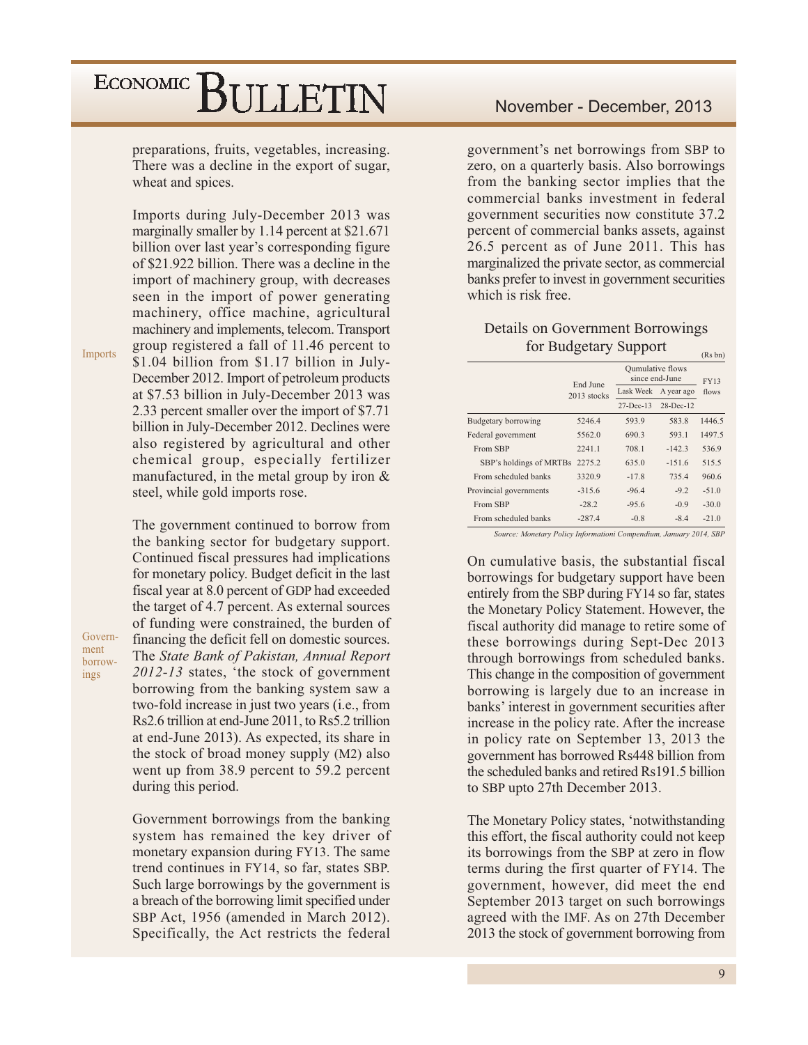preparations, fruits, vegetables, increasing. There was a decline in the export of sugar, wheat and spices.

Imports during July-December 2013 was marginally smaller by 1.14 percent at \$21.671 billion over last year's corresponding figure of \$21.922 billion. There was a decline in the import of machinery group, with decreases seen in the import of power generating machinery, office machine, agricultural machinery and implements, telecom. Transport group registered a fall of 11.46 percent to \$1.04 billion from \$1.17 billion in July-December 2012. Import of petroleum products at \$7.53 billion in July-December 2013 was 2.33 percent smaller over the import of \$7.71 billion in July-December 2012. Declines were also registered by agricultural and other chemical group, especially fertilizer manufactured, in the metal group by iron  $\&$ steel, while gold imports rose.

Imports

Government borrowings

The government continued to borrow from the banking sector for budgetary support. Continued fiscal pressures had implications for monetary policy. Budget deficit in the last fiscal year at 8.0 percent of GDP had exceeded the target of 4.7 percent. As external sources of funding were constrained, the burden of financing the deficit fell on domestic sources. The State Bank of Pakistan, Annual Report 2012-13 states, 'the stock of government borrowing from the banking system saw a two-fold increase in just two years (i.e., from Rs2.6 trillion at end-June 2011, to Rs5.2 trillion at end-June 2013). As expected, its share in the stock of broad money supply (M2) also went up from 38.9 percent to 59.2 percent during this period.

Government borrowings from the banking system has remained the key driver of monetary expansion during FY13. The same trend continues in FY14, so far, states SBP. Such large borrowings by the government is a breach of the borrowing limit specified under SBP Act, 1956 (amended in March 2012). Specifically, the Act restricts the federal government's net borrowings from SBP to zero, on a quarterly basis. Also borrowings from the banking sector implies that the commercial banks investment in federal government securities now constitute 37.2 percent of commercial banks assets, against 26.5 percent as of June 2011. This has marginalized the private sector, as commercial banks prefer to invest in government securities which is risk free.

#### Details on Government Borrowings for Budgetary Support  $(D_0, bn)$

|                                | End June    |                 | Qumulative flows<br>since end-June |         |  |
|--------------------------------|-------------|-----------------|------------------------------------|---------|--|
|                                | 2013 stocks | Lask Week       | A year ago                         | flows   |  |
|                                |             | $27 - Dec - 13$ | $28-Dec-12$                        |         |  |
| Budgetary borrowing            | 5246.4      | 593.9           | 583.8                              | 1446.5  |  |
| Federal government             | 5562.0      | 690.3           | 593.1                              | 1497.5  |  |
| From SBP                       | 2241.1      | 708.1           | $-142.3$                           | 536.9   |  |
| SBP's holdings of MRTBs 2275.2 |             | 635.0           | $-151.6$                           | 515.5   |  |
| From scheduled banks           | 3320.9      | $-17.8$         | 735.4                              | 960.6   |  |
| Provincial governments         | $-315.6$    | $-96.4$         | $-9.2$                             | $-51.0$ |  |
| From SBP                       | $-28.2$     | $-95.6$         | $-0.9$                             | $-30.0$ |  |
| From scheduled banks           | $-287.4$    | $-0.8$          | $-8.4$                             | $-21.0$ |  |
|                                |             |                 |                                    |         |  |

Source: Monetary Policy Informationi Compendium, January 2014, SBP

On cumulative basis, the substantial fiscal borrowings for budgetary support have been entirely from the SBP during FY14 so far, states the Monetary Policy Statement. However, the fiscal authority did manage to retire some of these borrowings during Sept-Dec 2013 through borrowings from scheduled banks. This change in the composition of government borrowing is largely due to an increase in banks' interest in government securities after increase in the policy rate. After the increase in policy rate on September 13, 2013 the government has borrowed Rs448 billion from the scheduled banks and retired Rs191.5 billion to SBP upto 27th December 2013.

The Monetary Policy states, 'notwithstanding this effort, the fiscal authority could not keep its borrowings from the SBP at zero in flow terms during the first quarter of FY14. The government, however, did meet the end September 2013 target on such borrowings agreed with the IMF. As on 27th December 2013 the stock of government borrowing from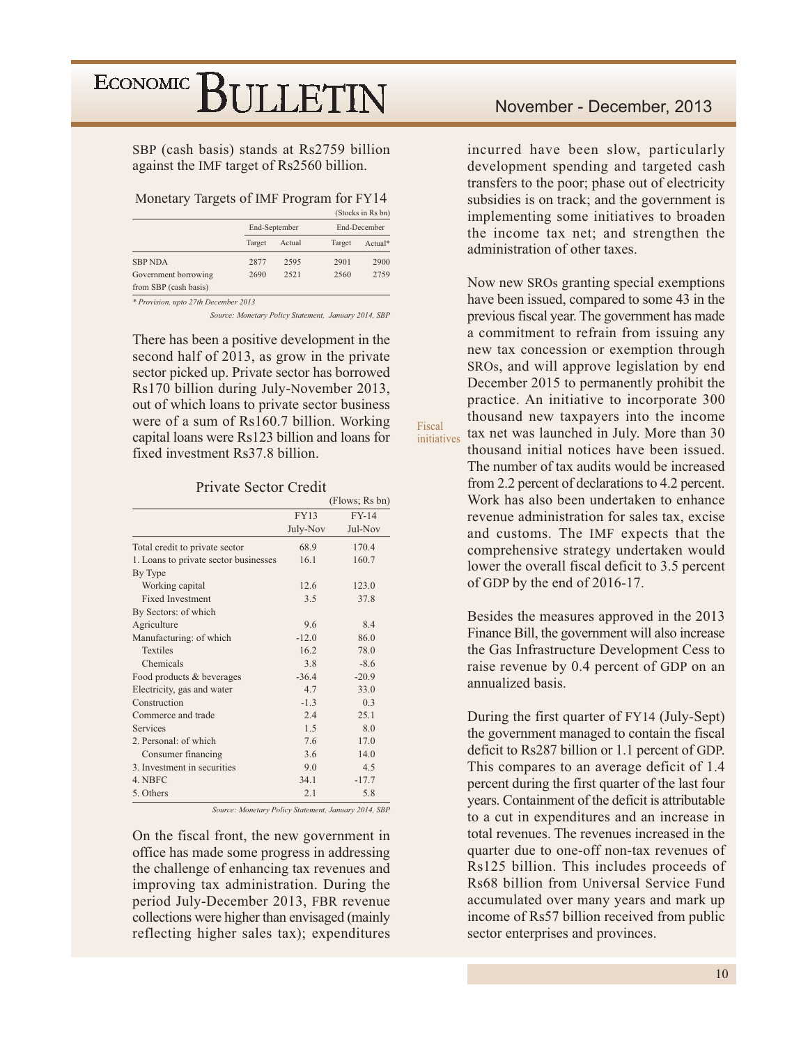#### SBP (cash basis) stands at Rs2759 billion against the IMF target of Rs2560 billion.

#### Monetary Targets of IMF Program for FY14

|                                      |        |               |              | (Stocks in Rs bn) |  |
|--------------------------------------|--------|---------------|--------------|-------------------|--|
|                                      |        | End-September | End-December |                   |  |
|                                      | Target | Actual        | Target       | Actual*           |  |
| <b>SBP NDA</b>                       | 2877   | 2595          | 2901         | 2900              |  |
| Government borrowing                 | 2690   | 2521          | 2560         | 2759              |  |
| from SBP (cash basis)                |        |               |              |                   |  |
| * Provision, upto 27th December 2013 |        |               |              |                   |  |

Source: Monetary Policy Statement, January 2014, SBP

Fiscal

initiatives

There has been a positive development in the second half of 2013, as grow in the private sector picked up. Private sector has borrowed Rs170 billion during July-November 2013, out of which loans to private sector business were of a sum of Rs160.7 billion. Working capital loans were Rs123 billion and loans for fixed investment Rs37.8 billion.

#### Private Sector Credit

|                                       |                | (Flows; Rs bn) |
|---------------------------------------|----------------|----------------|
|                                       | <b>FY13</b>    | <b>FY-14</b>   |
|                                       | July-Nov       | Jul-Nov        |
| Total credit to private sector        | 68.9           | 170.4          |
| 1. Loans to private sector businesses | 16.1           | 160.7          |
| By Type                               |                |                |
| Working capital                       | 12.6           | 123.0          |
| <b>Fixed Investment</b>               | 3.5            | 37.8           |
| By Sectors: of which                  |                |                |
| Agriculture                           | 96             | 8.4            |
| Manufacturing: of which               | $-12.0$        | 86.0           |
| <b>Textiles</b>                       | 16.2           | 78.0           |
| Chemicals                             | 3.8            | $-8.6$         |
| Food products & beverages             | $-36.4$        | $-20.9$        |
| Electricity, gas and water            | 4.7            | 33.0           |
| Construction                          | $-1.3$         | 0.3            |
| Commerce and trade                    | 2.4            | 251            |
| Services                              | 1 <sub>5</sub> | 8.0            |
| 2. Personal: of which                 | 7.6            | 17.0           |
| Consumer financing                    | 3.6            | 14.0           |
| 3. Investment in securities           | 9.0            | 4.5            |
| 4. NBFC                               | 34.1           | $-17.7$        |
| 5. Others                             | 2.1            | 5.8            |

Source: Monetary Policy Statement, January 2014, SBP

On the fiscal front, the new government in office has made some progress in addressing the challenge of enhancing tax revenues and improving tax administration. During the period July-December 2013, FBR revenue collections were higher than envisaged (mainly reflecting higher sales tax); expenditures incurred have been slow, particularly development spending and targeted cash transfers to the poor; phase out of electricity subsidies is on track; and the government is implementing some initiatives to broaden the income tax net; and strengthen the administration of other taxes.

Now new SROs granting special exemptions have been issued, compared to some 43 in the previous fiscal year. The government has made a commitment to refrain from issuing any new tax concession or exemption through SROs, and will approve legislation by end December 2015 to permanently prohibit the practice. An initiative to incorporate 300 thousand new taxpayers into the income tax net was launched in July. More than 30 thousand initial notices have been issued. The number of tax audits would be increased from 2.2 percent of declarations to 4.2 percent. Work has also been undertaken to enhance revenue administration for sales tax, excise and customs. The IMF expects that the comprehensive strategy undertaken would lower the overall fiscal deficit to 3.5 percent of GDP by the end of 2016-17.

Besides the measures approved in the 2013 Finance Bill, the government will also increase the Gas Infrastructure Development Cess to raise revenue by 0.4 percent of GDP on an annualized basis.

During the first quarter of FY14 (July-Sept) the government managed to contain the fiscal deficit to Rs287 billion or 1.1 percent of GDP. This compares to an average deficit of 1.4 percent during the first quarter of the last four years. Containment of the deficit is attributable to a cut in expenditures and an increase in total revenues. The revenues increased in the quarter due to one-off non-tax revenues of Rs125 billion. This includes proceeds of Rs68 billion from Universal Service Fund accumulated over many years and mark up income of Rs57 billion received from public sector enterprises and provinces.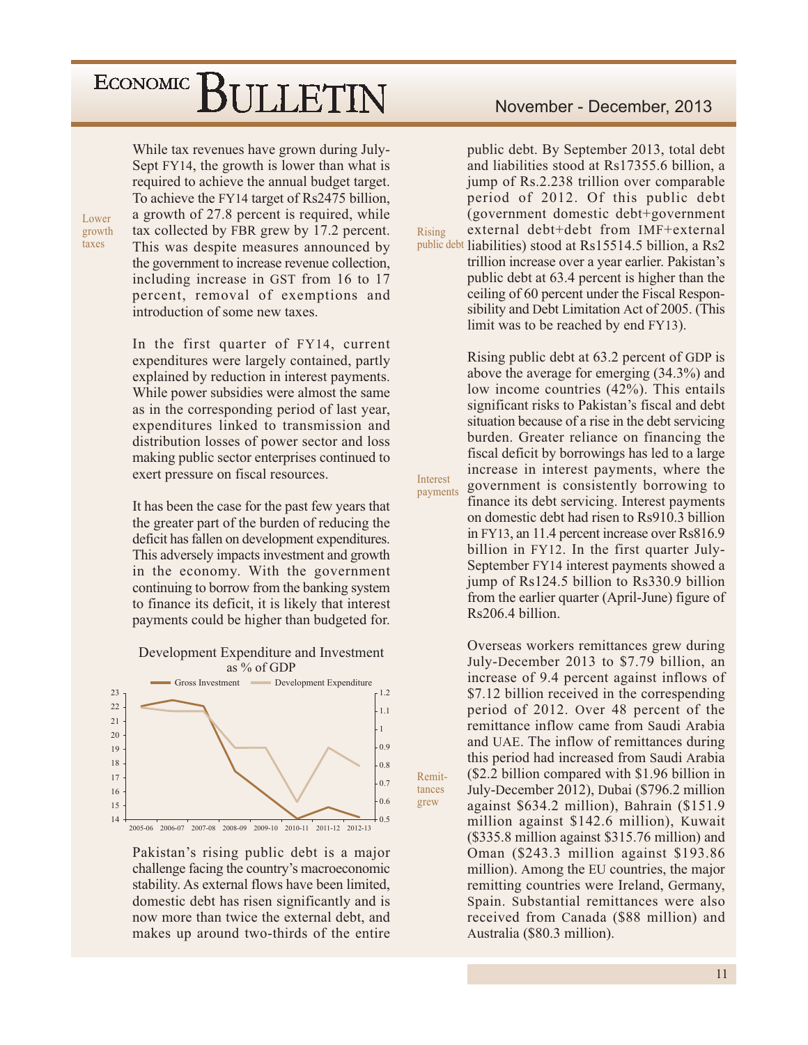While tax revenues have grown during July-Sept FY14, the growth is lower than what is required to achieve the annual budget target. To achieve the FY14 target of Rs2475 billion, a growth of 27.8 percent is required, while tax collected by FBR grew by 17.2 percent. This was despite measures announced by the government to increase revenue collection, including increase in GST from 16 to 17 percent, removal of exemptions and introduction of some new taxes.

Lower growth

taxes

In the first quarter of FY14, current expenditures were largely contained, partly explained by reduction in interest payments. While power subsidies were almost the same as in the corresponding period of last year, expenditures linked to transmission and distribution losses of power sector and loss making public sector enterprises continued to exert pressure on fiscal resources.

It has been the case for the past few years that the greater part of the burden of reducing the deficit has fallen on development expenditures. This adversely impacts investment and growth in the economy. With the government continuing to borrow from the banking system to finance its deficit, it is likely that interest payments could be higher than budgeted for.





Pakistan's rising public debt is a major challenge facing the country's macroeconomic stability. As external flows have been limited, domestic debt has risen significantly and is now more than twice the external debt, and makes up around two-thirds of the entire

### November - December, 2013

public debt. By September 2013, total debt and liabilities stood at Rs17355.6 billion, a jump of Rs.2.238 trillion over comparable period of 2012. Of this public debt (government domestic debt+government external debt+debt from IMF+external Rising public debt liabilities) stood at Rs15514.5 billion, a Rs2 trillion increase over a year earlier. Pakistan's public debt at 63.4 percent is higher than the ceiling of 60 percent under the Fiscal Responsibility and Debt Limitation Act of 2005. (This limit was to be reached by end FY13).

> Rising public debt at 63.2 percent of GDP is above the average for emerging (34.3%) and low income countries (42%). This entails significant risks to Pakistan's fiscal and debt situation because of a rise in the debt servicing burden. Greater reliance on financing the fiscal deficit by borrowings has led to a large increase in interest payments, where the government is consistently borrowing to finance its debt servicing. Interest payments on domestic debt had risen to Rs910.3 billion in FY13, an 11.4 percent increase over Rs816.9 billion in FY12. In the first quarter July-September FY14 interest payments showed a jump of Rs124.5 billion to Rs330.9 billion from the earlier quarter (April-June) figure of Rs206.4 billion.

Interest

Remit-

tances

grew

payments

Overseas workers remittances grew during July-December 2013 to \$7.79 billion, an increase of 9.4 percent against inflows of \$7.12 billion received in the corresponding period of 2012. Over 48 percent of the remittance inflow came from Saudi Arabia and UAE. The inflow of remittances during this period had increased from Saudi Arabia (\$2.2 billion compared with \$1.96 billion in July-December 2012), Dubai (\$796.2 million against \$634.2 million), Bahrain (\$151.9) million against \$142.6 million), Kuwait (\$335.8 million against \$315.76 million) and Oman (\$243.3 million against \$193.86 million). Among the EU countries, the major remitting countries were Ireland, Germany, Spain. Substantial remittances were also received from Canada (\$88 million) and Australia (\$80.3 million).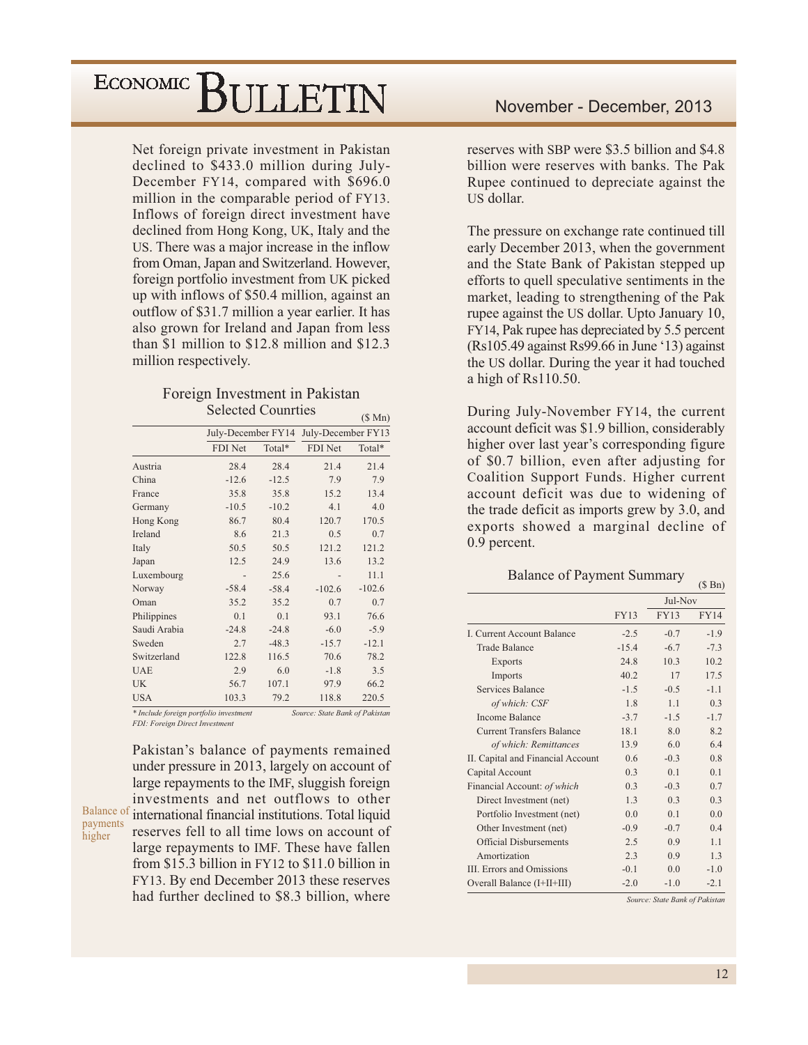Net foreign private investment in Pakistan declined to \$433.0 million during July-December FY14, compared with \$696.0 million in the comparable period of FY13. Inflows of foreign direct investment have declined from Hong Kong, UK, Italy and the US. There was a major increase in the inflow from Oman, Japan and Switzerland. However, foreign portfolio investment from UK picked up with inflows of \$50.4 million, against an outflow of \$31.7 million a year earlier. It has also grown for Ireland and Japan from less than \$1 million to \$12.8 million and \$12.3 million respectively.

#### Foreign Investment in Pakistan **Selected Counrties**  $(0, 1, 1)$

|                                        |                    |         |                                | $(D$ IVIII) |
|----------------------------------------|--------------------|---------|--------------------------------|-------------|
|                                        | July-December FY14 |         | July-December FY13             |             |
|                                        | FDI Net            | Total*  | FDI Net                        | Total*      |
| Austria                                | 28.4               | 28.4    | 21.4                           | 21.4        |
| China                                  | $-12.6$            | $-12.5$ | 7.9                            | 7.9         |
| France                                 | 35.8               | 35.8    | 15.2                           | 13.4        |
| Germany                                | $-10.5$            | $-10.2$ | 4.1                            | 4.0         |
| Hong Kong                              | 86.7               | 80.4    | 120.7                          | 170.5       |
| Ireland                                | 8.6                | 21.3    | 0.5                            | 0.7         |
| Italy                                  | 50.5               | 50.5    | 121.2                          | 121.2       |
| Japan                                  | 12.5               | 24.9    | 13.6                           | 13.2        |
| Luxembourg                             |                    | 25.6    |                                | 11.1        |
| Norway                                 | $-58.4$            | $-58.4$ | $-102.6$                       | $-102.6$    |
| Oman                                   | 35.2               | 35.2    | 0.7                            | 0.7         |
| Philippines                            | 0.1                | 0.1     | 93.1                           | 76.6        |
| Saudi Arabia                           | $-24.8$            | $-24.8$ | $-6.0$                         | $-5.9$      |
| Sweden                                 | 2.7                | $-48.3$ | $-15.7$                        | $-12.1$     |
| Switzerland                            | 122.8              | 116.5   | 70.6                           | 78.2        |
| <b>UAE</b>                             | 2.9                | 6.0     | $-1.8$                         | 3.5         |
| <b>UK</b>                              | 56.7               | 107.1   | 97.9                           | 66.2        |
| <b>USA</b>                             | 103.3              | 79.2    | 118.8                          | 220.5       |
| * Include foreign portfolio investment |                    |         | Source: State Bank of Pakistan |             |

\* Include foreign portfolio investment FDI: Foreign Direct Investment

payments

higher

Pakistan's balance of payments remained under pressure in 2013, largely on account of large repayments to the IMF, sluggish foreign investments and net outflows to other Balance of international financial institutions. Total liquid reserves fell to all time lows on account of large repayments to IMF. These have fallen from \$15.3 billion in  $FY12$  to \$11.0 billion in FY13. By end December 2013 these reserves had further declined to \$8.3 billion, where

reserves with SBP were \$3.5 billion and \$4.8 billion were reserves with banks. The Pak Rupee continued to depreciate against the US dollar.

The pressure on exchange rate continued till early December 2013, when the government and the State Bank of Pakistan stepped up efforts to quell speculative sentiments in the market, leading to strengthening of the Pak rupee against the US dollar. Upto January 10, FY14, Pak rupee has depreciated by 5.5 percent (Rs105.49 against Rs99.66 in June '13) against the US dollar. During the year it had touched a high of  $Rs110.50$ .

During July-November FY14, the current account deficit was \$1.9 billion, considerably higher over last year's corresponding figure of \$0.7 billion, even after adjusting for Coalition Support Funds. Higher current account deficit was due to widening of the trade deficit as imports grew by 3.0, and exports showed a marginal decline of  $0.9$  percent.

### **Balance of Payment Summary**

|                                   |             |             | $(\phi$ DII)   |
|-----------------------------------|-------------|-------------|----------------|
|                                   |             | Jul-Nov     |                |
|                                   | <b>FY13</b> | <b>FY13</b> | <b>FY14</b>    |
| <b>I. Current Account Balance</b> | $-2.5$      | $-0.7$      | $-1.9$         |
| <b>Trade Balance</b>              | $-15.4$     | $-6.7$      | $-7.3$         |
| Exports                           | 24.8        | 10.3        | 10.2           |
| Imports                           | 40.2        | 17          | 17.5           |
| Services Balance                  | $-1.5$      | $-0.5$      | $-1.1$         |
| of which: CSF                     | 1.8         | 1.1         | 0.3            |
| <b>Income Balance</b>             | $-3.7$      | $-1.5$      | $-1.7$         |
| <b>Current Transfers Balance</b>  | 18.1        | 8.0         | 8.2            |
| of which: Remittances             | 13.9        | 6.0         | 6.4            |
| II. Capital and Financial Account | 0.6         | $-0.3$      | 0.8            |
| Capital Account                   | 0.3         | 0.1         | 0.1            |
| Financial Account: of which       | 0.3         | $-0.3$      | 0.7            |
| Direct Investment (net)           | 1.3         | 0.3         | 0.3            |
| Portfolio Investment (net)        | 0.0         | 0.1         | 0.0            |
| Other Investment (net)            | $-0.9$      | $-0.7$      | 0.4            |
| <b>Official Disbursements</b>     | 2.5         | 0.9         | 1 <sub>1</sub> |
| Amortization                      | 2.3         | 0.9         | 1.3            |
| <b>III.</b> Errors and Omissions  | $-0.1$      | 0.0         | $-1.0$         |
| Overall Balance (I+II+III)        | $-2.0$      | $-1.0$      | $-2.1$         |

Source: State Bank of Pakistan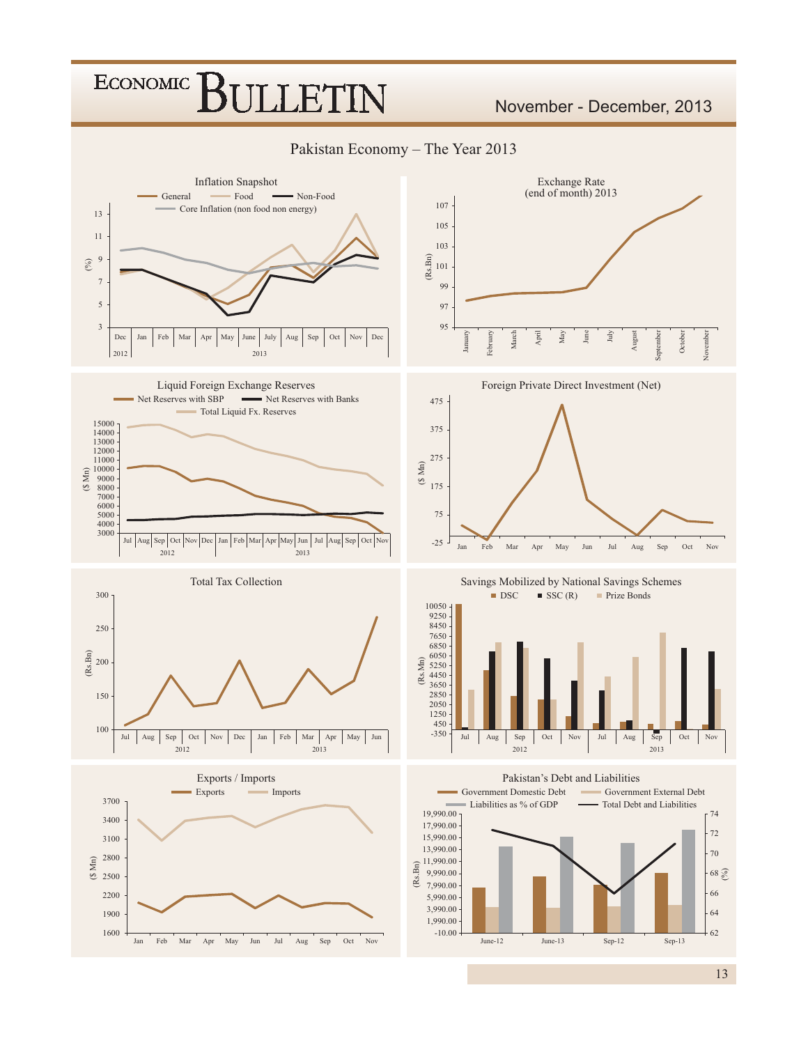### **ECONOMIC JLLET**

### November - December, 2013

Pakistan Economy - The Year 2013

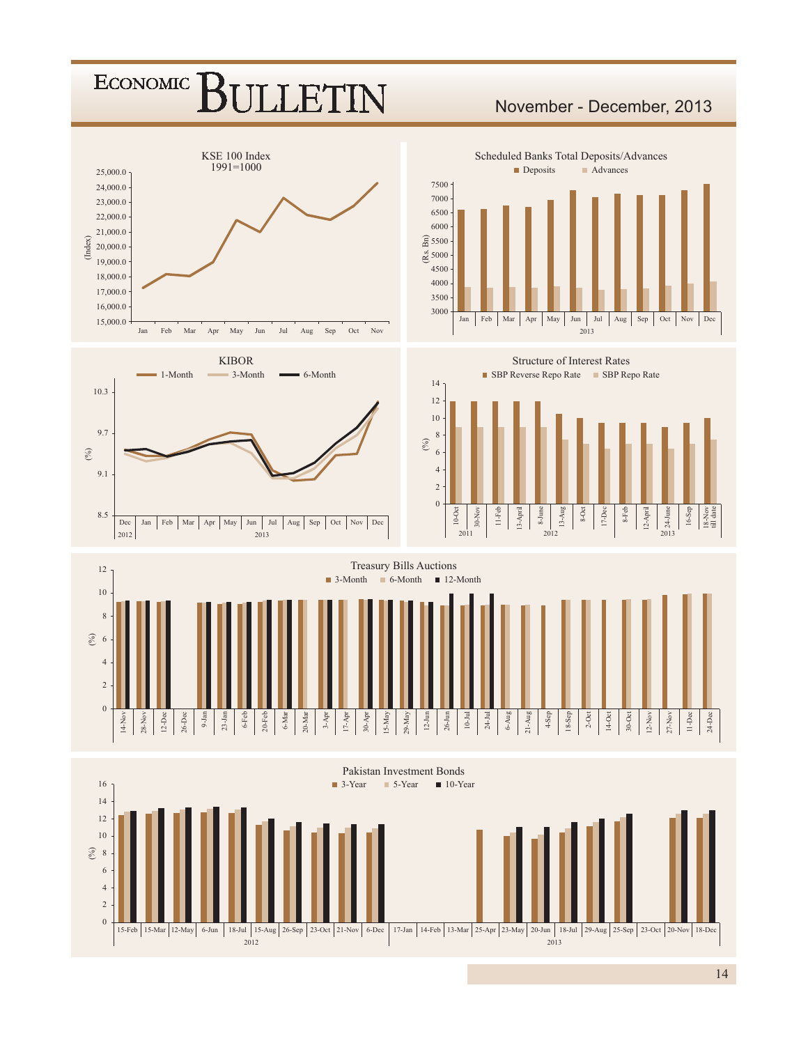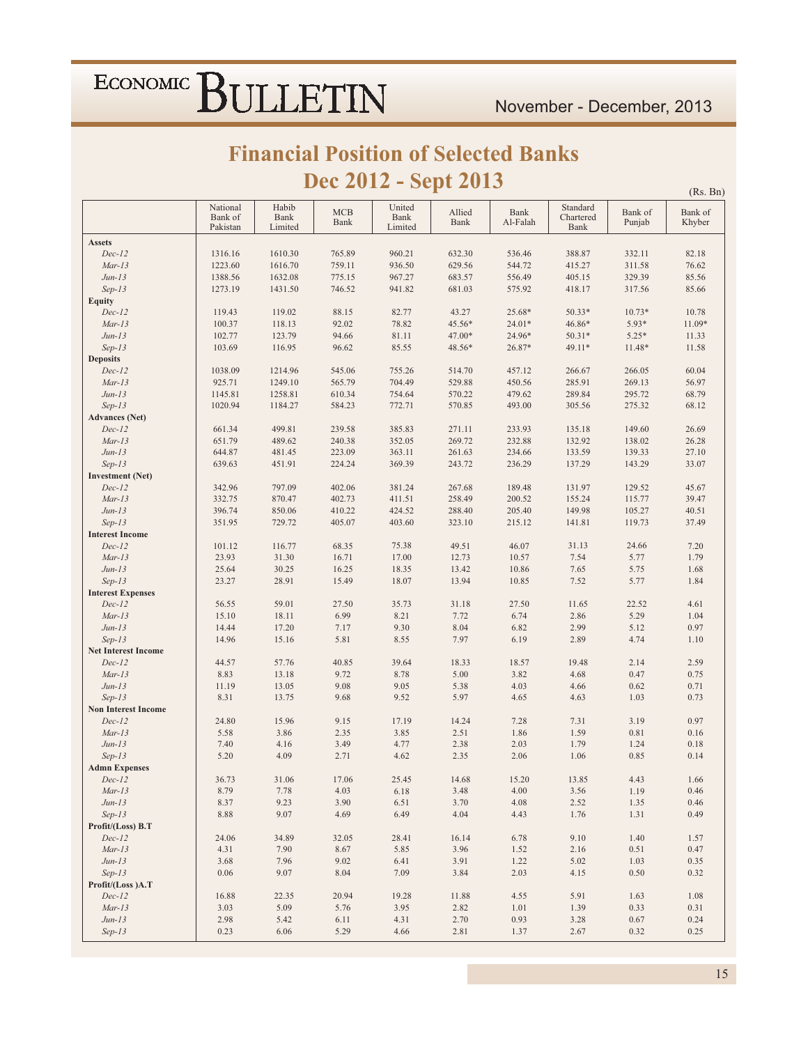$(Rs. Bn)$ 

### **Financial Position of Selected Banks** Dec 2012 - Sept 2013

|                            | National            | Habib           | <b>MCB</b> | United          | Allied | Bank     | Standard          | Bank of  | Bank of |
|----------------------------|---------------------|-----------------|------------|-----------------|--------|----------|-------------------|----------|---------|
|                            | Bank of<br>Pakistan | Bank<br>Limited | Bank       | Bank<br>Limited | Bank   | Al-Falah | Chartered<br>Bank | Punjab   | Khyber  |
| <b>Assets</b>              |                     |                 |            |                 |        |          |                   |          |         |
| $Dec-12$                   | 1316.16             | 1610.30         | 765.89     | 960.21          | 632.30 | 536.46   | 388.87            | 332.11   | 82.18   |
| $Mar-13$                   | 1223.60             | 1616.70         | 759.11     | 936.50          | 629.56 | 544.72   | 415.27            | 311.58   | 76.62   |
| $Jun-13$                   | 1388.56             | 1632.08         | 775.15     | 967.27          | 683.57 | 556.49   | 405.15            | 329.39   | 85.56   |
| $Sep-13$                   | 1273.19             | 1431.50         | 746.52     | 941.82          | 681.03 | 575.92   | 418.17            | 317.56   | 85.66   |
| <b>Equity</b>              |                     |                 |            |                 |        |          |                   |          |         |
| $Dec-12$                   | 119.43              | 119.02          | 88.15      | 82.77           | 43.27  | 25.68*   | $50.33*$          | $10.73*$ | 10.78   |
| $Mar-13$                   | 100.37              | 118.13          | 92.02      | 78.82           | 45.56* | $24.01*$ | 46.86*            | 5.93*    | 11.09*  |
| $Jun-13$                   | 102.77              | 123.79          | 94.66      | 81.11           | 47.00* | 24.96*   | $50.31*$          | $5.25*$  | 11.33   |
| $Sep-13$                   | 103.69              | 116.95          | 96.62      | 85.55           | 48.56* | 26.87*   | 49.11*            | 11.48*   | 11.58   |
| <b>Deposits</b>            |                     |                 |            |                 |        |          |                   |          |         |
| $Dec-12$                   | 1038.09             | 1214.96         | 545.06     | 755.26          | 514.70 | 457.12   | 266.67            | 266.05   | 60.04   |
| $Mar-13$                   | 925.71              | 1249.10         | 565.79     | 704.49          | 529.88 | 450.56   | 285.91            | 269.13   | 56.97   |
| $Jun-13$                   | 1145.81             | 1258.81         | 610.34     | 754.64          | 570.22 | 479.62   | 289.84            | 295.72   | 68.79   |
| $Sep-13$                   | 1020.94             | 1184.27         | 584.23     | 772.71          | 570.85 | 493.00   | 305.56            | 275.32   | 68.12   |
| <b>Advances</b> (Net)      |                     |                 |            |                 |        |          |                   |          |         |
| $Dec-12$                   | 661.34              | 499.81          | 239.58     | 385.83          | 271.11 | 233.93   | 135.18            | 149.60   | 26.69   |
| $Mar-13$                   | 651.79              | 489.62          | 240.38     | 352.05          | 269.72 | 232.88   | 132.92            | 138.02   | 26.28   |
| $Jun-13$                   | 644.87              | 481.45          | 223.09     | 363.11          | 261.63 | 234.66   | 133.59            | 139.33   | 27.10   |
| $Sep-13$                   | 639.63              | 451.91          | 224.24     | 369.39          | 243.72 | 236.29   | 137.29            | 143.29   | 33.07   |
| <b>Investment</b> (Net)    |                     |                 |            |                 |        |          |                   |          |         |
| $Dec-12$                   | 342.96              | 797.09          | 402.06     | 381.24          | 267.68 | 189.48   | 131.97            | 129.52   | 45.67   |
| $Mar-13$                   | 332.75              | 870.47          | 402.73     | 411.51          | 258.49 | 200.52   | 155.24            | 115.77   | 39.47   |
| $Jun-13$                   | 396.74              | 850.06          | 410.22     | 424.52          | 288.40 | 205.40   | 149.98            | 105.27   | 40.51   |
| $Sep-13$                   | 351.95              | 729.72          | 405.07     | 403.60          | 323.10 | 215.12   | 141.81            | 119.73   | 37.49   |
| <b>Interest Income</b>     |                     |                 |            |                 |        |          |                   |          |         |
| $Dec-12$                   | 101.12              | 116.77          | 68.35      | 75.38           | 49.51  | 46.07    | 31.13             | 24.66    | 7.20    |
| $Mar-13$                   | 23.93               | 31.30           | 16.71      | 17.00           | 12.73  | 10.57    | 7.54              | 5.77     | 1.79    |
| $Jun-13$                   | 25.64               | 30.25           | 16.25      | 18.35           | 13.42  | 10.86    | 7.65              | 5.75     | 1.68    |
| $Sep-13$                   | 23.27               | 28.91           | 15.49      | 18.07           | 13.94  | 10.85    | 7.52              | 5.77     | 1.84    |
| <b>Interest Expenses</b>   |                     |                 |            |                 |        |          |                   |          |         |
| $Dec-12$                   | 56.55               | 59.01           | 27.50      | 35.73           | 31.18  | 27.50    | 11.65             | 22.52    | 4.61    |
| $Mar-13$                   | 15.10               | 18.11           | 6.99       | 8.21            | 7.72   | 6.74     | 2.86              | 5.29     | 1.04    |
| $Jun-13$                   | 14.44               | 17.20           | 7.17       | 9.30            | 8.04   | 6.82     | 2.99              | 5.12     | 0.97    |
| $Sep-13$                   | 14.96               | 15.16           | 5.81       | 8.55            | 7.97   | 6.19     | 2.89              | 4.74     | 1.10    |
| <b>Net Interest Income</b> |                     |                 |            |                 |        |          |                   |          |         |
| $Dec-12$                   | 44.57               | 57.76           | 40.85      | 39.64           | 18.33  | 18.57    | 19.48             | 2.14     | 2.59    |
| $Mar-13$                   | 8.83                | 13.18           | 9.72       | 8.78            | 5.00   | 3.82     | 4.68              | 0.47     | 0.75    |
| $Jun-13$                   | 11.19               | 13.05           | 9.08       | 9.05            | 5.38   | 4.03     | 4.66              | 0.62     | 0.71    |
| $Sep-13$                   | 8.31                | 13.75           | 9.68       | 9.52            | 5.97   | 4.65     | 4.63              | 1.03     | 0.73    |
| <b>Non Interest Income</b> |                     |                 |            |                 |        |          |                   |          |         |
| $Dec-12$                   | 24.80               | 15.96           | 9.15       | 17.19           | 14.24  | 7.28     | 7.31              | 3.19     | 0.97    |
| $Mar-13$                   | 5.58                | 3.86            | 2.35       | 3.85            | 2.51   | 1.86     | 1.59              | 0.81     | 0.16    |
| $Jun-13$                   | 7.40                | 4.16            | 3.49       | 4.77            | 2.38   | 2.03     | 1.79              | 1.24     | 0.18    |
| $Sep-13$                   | 5.20                | 4.09            | 2.71       | 4.62            | 2.35   | 2.06     | 1.06              | 0.85     | 0.14    |
| <b>Admn Expenses</b>       |                     |                 |            |                 |        |          |                   |          |         |
| $Dec-12$                   | 36.73               | 31.06           | 17.06      | 25.45           | 14.68  | 15.20    | 13.85             | 4.43     | 1.66    |
| $Mar-13$                   | 8.79                | 7.78            | 4.03       | 6.18            | 3.48   | 4.00     | 3.56              | 1.19     | 0.46    |
| $Jun-13$                   | 8.37                | 9.23            | 3.90       | 6.51            | 3.70   | 4.08     | 2.52              | 1.35     | 0.46    |
| $Sep-13$                   | 8.88                | 9.07            | 4.69       | 6.49            | 4.04   | 4.43     | 1.76              | 1.31     | 0.49    |
| Profit/(Loss) B.T          |                     |                 |            |                 |        |          |                   |          |         |
| $Dec-12$                   | 24.06               | 34.89           | 32.05      | 28.41           | 16.14  | 6.78     | 9.10              | 1.40     | 1.57    |
| $Mar-13$                   | 4.31                | 7.90            | 8.67       | 5.85            | 3.96   | 1.52     | 2.16              | 0.51     | 0.47    |
| $Jun-13$                   | 3.68                | 7.96            | 9.02       | 6.41            | 3.91   | 1.22     | 5.02              | 1.03     | 0.35    |
| $Sep-13$                   | 0.06                | 9.07            | 8.04       | 7.09            | 3.84   | 2.03     | 4.15              | 0.50     | 0.32    |
| Profit/(Loss)A.T           |                     |                 |            |                 |        |          |                   |          |         |
| $Dec-12$                   | 16.88               | 22.35           | 20.94      | 19.28           | 11.88  | 4.55     | 5.91              | 1.63     | 1.08    |
| $Mar-13$                   | 3.03                | 5.09            | 5.76       | 3.95            | 2.82   | 1.01     | 1.39              | 0.33     | 0.31    |
| $Jun-13$                   | 2.98                | 5.42            | 6.11       | 4.31            | 2.70   | 0.93     | 3.28              | 0.67     | 0.24    |
| $Sep-13$                   | 0.23                | 6.06            | 5.29       | 4.66            | 2.81   | 1.37     | 2.67              | 0.32     | 0.25    |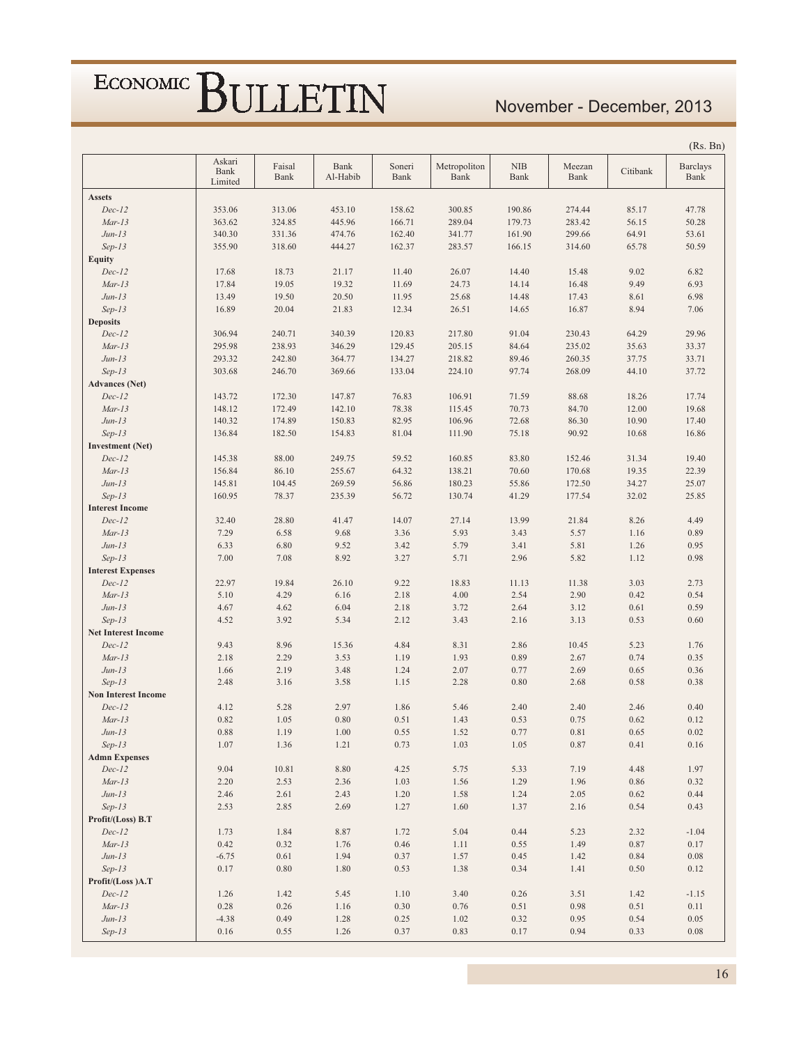### November - December, 2013

|                            |                           |                |                  |                |                      |                    |                |          | (Rs. Bn)                |
|----------------------------|---------------------------|----------------|------------------|----------------|----------------------|--------------------|----------------|----------|-------------------------|
|                            | Askari<br>Bank<br>Limited | Faisal<br>Bank | Bank<br>Al-Habib | Soneri<br>Bank | Metropoliton<br>Bank | <b>NIB</b><br>Bank | Meezan<br>Bank | Citibank | <b>Barclays</b><br>Bank |
| <b>Assets</b>              |                           |                |                  |                |                      |                    |                |          |                         |
| $Dec-12$                   | 353.06                    | 313.06         | 453.10           | 158.62         | 300.85               | 190.86             | 274.44         | 85.17    | 47.78                   |
| $Mar-13$                   | 363.62                    | 324.85         | 445.96           | 166.71         | 289.04               | 179.73             | 283.42         | 56.15    | 50.28                   |
| $Jun-13$                   | 340.30                    | 331.36         | 474.76           | 162.40         | 341.77               | 161.90             | 299.66         | 64.91    | 53.61                   |
| $Sep-13$                   | 355.90                    | 318.60         | 444.27           | 162.37         | 283.57               | 166.15             | 314.60         | 65.78    | 50.59                   |
| <b>Equity</b>              |                           |                |                  |                |                      |                    |                |          |                         |
| $Dec-12$                   | 17.68                     | 18.73          | 21.17            | 11.40          | 26.07                | 14.40              | 15.48          | 9.02     | 6.82                    |
| $Mar-13$                   | 17.84                     | 19.05          | 19.32            | 11.69          | 24.73                | 14.14              | 16.48          | 9.49     | 6.93                    |
| $Jun-13$                   | 13.49                     | 19.50          | 20.50            | 11.95          | 25.68                | 14.48              | 17.43          | 8.61     | 6.98                    |
| $Sep-13$                   | 16.89                     | 20.04          | 21.83            | 12.34          | 26.51                | 14.65              | 16.87          | 8.94     | 7.06                    |
| <b>Deposits</b>            |                           |                |                  |                |                      |                    |                |          |                         |
| $Dec-12$                   | 306.94                    | 240.71         | 340.39           | 120.83         | 217.80               | 91.04              | 230.43         | 64.29    | 29.96                   |
| $Mar-13$                   | 295.98                    | 238.93         | 346.29           | 129.45         | 205.15               | 84.64              | 235.02         | 35.63    | 33.37                   |
| $Jun-13$                   | 293.32                    | 242.80         | 364.77           | 134.27         | 218.82               | 89.46              | 260.35         | 37.75    | 33.71                   |
| $Sep-13$                   | 303.68                    | 246.70         | 369.66           | 133.04         | 224.10               | 97.74              | 268.09         | 44.10    | 37.72                   |
| <b>Advances</b> (Net)      |                           |                |                  |                |                      |                    |                |          |                         |
| $Dec-12$                   | 143.72                    | 172.30         | 147.87           | 76.83          | 106.91               | 71.59              | 88.68          | 18.26    | 17.74                   |
| $Mar-13$                   | 148.12                    | 172.49         | 142.10           | 78.38          | 115.45               | 70.73              | 84.70          | 12.00    | 19.68                   |
| $Jun-13$                   | 140.32                    | 174.89         | 150.83           | 82.95          | 106.96               | 72.68              | 86.30          | 10.90    | 17.40                   |
| $Sep-13$                   | 136.84                    | 182.50         | 154.83           | 81.04          | 111.90               | 75.18              | 90.92          | 10.68    | 16.86                   |
| <b>Investment</b> (Net)    |                           |                |                  |                |                      |                    |                |          |                         |
| $Dec-12$                   | 145.38                    | 88.00          | 249.75           | 59.52          | 160.85               | 83.80              | 152.46         | 31.34    | 19.40                   |
| $Mar-13$                   | 156.84                    | 86.10          | 255.67           | 64.32          | 138.21               | 70.60              | 170.68         | 19.35    | 22.39                   |
| $Jun-13$                   | 145.81                    | 104.45         | 269.59           | 56.86          | 180.23               | 55.86              | 172.50         | 34.27    | 25.07                   |
| $Sep-13$                   | 160.95                    | 78.37          | 235.39           | 56.72          | 130.74               | 41.29              | 177.54         | 32.02    | 25.85                   |
| <b>Interest Income</b>     |                           |                |                  |                |                      |                    |                |          |                         |
| $Dec-12$                   | 32.40                     | 28.80          | 41.47            | 14.07          | 27.14                | 13.99              | 21.84          | 8.26     | 4.49                    |
| $Mar-13$                   | 7.29                      | 6.58           | 9.68             | 3.36           | 5.93                 | 3.43               | 5.57           | 1.16     | 0.89                    |
| $Jun-13$                   | 6.33                      | 6.80           | 9.52             | 3.42           | 5.79                 | 3.41               | 5.81           | 1.26     | 0.95                    |
| $Sep-13$                   | 7.00                      | 7.08           | 8.92             | 3.27           | 5.71                 | 2.96               | 5.82           | 1.12     | 0.98                    |
| <b>Interest Expenses</b>   |                           |                |                  |                |                      |                    |                |          |                         |
| $Dec-12$                   | 22.97                     | 19.84          | 26.10            | 9.22           | 18.83                | 11.13              | 11.38          | 3.03     | 2.73                    |
| $Mar-13$                   | 5.10                      | 4.29           | 6.16             | 2.18           | 4.00                 | 2.54               | 2.90           | 0.42     | 0.54                    |
| $Jun-13$                   | 4.67                      | 4.62           | 6.04             | 2.18           | 3.72                 | 2.64               | 3.12           | 0.61     | 0.59                    |
| $Sep-13$                   | 4.52                      | 3.92           | 5.34             | 2.12           | 3.43                 | 2.16               | 3.13           | 0.53     | 0.60                    |
| <b>Net Interest Income</b> |                           |                |                  |                |                      |                    |                |          |                         |
| $Dec-12$                   | 9.43                      | 8.96           | 15.36            | 4.84           | 8.31                 | 2.86               | 10.45          | 5.23     | 1.76                    |
| $Mar-13$                   | 2.18                      | 2.29           | 3.53             | 1.19           | 1.93                 | 0.89               | 2.67           | 0.74     | 0.35                    |
| $Jun-13$                   | 1.66                      | 2.19           | 3.48             | 1.24           | 2.07                 | 0.77               | 2.69           | 0.65     | 0.36                    |
| $Sep-13$                   | 2.48                      | 3.16           | 3.58             | 1.15           | 2.28                 | 0.80               | 2.68           | 0.58     | 0.38                    |
| <b>Non Interest Income</b> |                           |                |                  |                |                      |                    |                |          |                         |
| $Dec-12$                   | 4.12                      | 5.28           | 2.97             | 1.86           | 5.46                 | 2.40               | 2.40           | 2.46     | 0.40                    |
| $Mar-13$                   | 0.82                      | 1.05           | 0.80             | 0.51           | 1.43                 | 0.53               | 0.75           | 0.62     | 0.12                    |
| $Jun-13$                   | $\rm 0.88$                | 1.19           | $1.00\,$         | 0.55           | 1.52                 | 0.77               | $0.81\,$       | 0.65     | $0.02\,$                |
| $Sep-13$                   | 1.07                      | 1.36           | 1.21             | 0.73           | 1.03                 | 1.05               | 0.87           | 0.41     | $0.16\,$                |
| <b>Admn Expenses</b>       |                           |                |                  |                |                      |                    |                |          |                         |
| $Dec-12$                   | 9.04                      | 10.81          | 8.80             | 4.25           | 5.75                 | 5.33               | 7.19           | 4.48     | 1.97                    |
| $Mar-13$                   | 2.20                      | 2.53           | 2.36             | 1.03           | 1.56                 | 1.29               | 1.96           | 0.86     | 0.32                    |
| $Jun-13$                   | 2.46                      | 2.61           | 2.43             | 1.20           | 1.58                 | 1.24               | 2.05           | 0.62     | 0.44                    |
| $Sep-13$                   | 2.53                      | 2.85           | 2.69             | 1.27           | 1.60                 | 1.37               | 2.16           | 0.54     | 0.43                    |
| Profit/(Loss) B.T          |                           |                |                  |                |                      |                    |                |          |                         |
| $Dec-12$                   | 1.73                      | 1.84           | 8.87             | 1.72           | 5.04                 | 0.44               | 5.23           | 2.32     | $-1.04$                 |
| $Mar-13$                   | 0.42                      | 0.32           | 1.76             | 0.46           | 1.11                 | 0.55               | 1.49           | 0.87     | 0.17                    |
| $Jun-13$                   | $-6.75$                   | 0.61           | 1.94             | 0.37           | 1.57                 | 0.45               | 1.42           | 0.84     | $0.08\,$                |
| $Sep-13$                   | 0.17                      | 0.80           | 1.80             | 0.53           | 1.38                 | 0.34               | 1.41           | 0.50     | 0.12                    |
| Profit/(Loss)A.T           |                           |                |                  |                |                      |                    |                |          |                         |
| $Dec-12$                   | 1.26                      | 1.42           | 5.45             | 1.10           | 3.40                 | 0.26               | 3.51           | 1.42     | $-1.15$                 |
| $Mar-13$                   | 0.28                      | 0.26           | 1.16             | 0.30           | 0.76                 | 0.51               | 0.98           | 0.51     | 0.11                    |
| $Jun-13$                   | $-4.38$                   | 0.49           | 1.28             | 0.25           | 1.02                 | 0.32               | 0.95           | 0.54     | 0.05                    |
|                            |                           |                |                  |                |                      |                    |                |          |                         |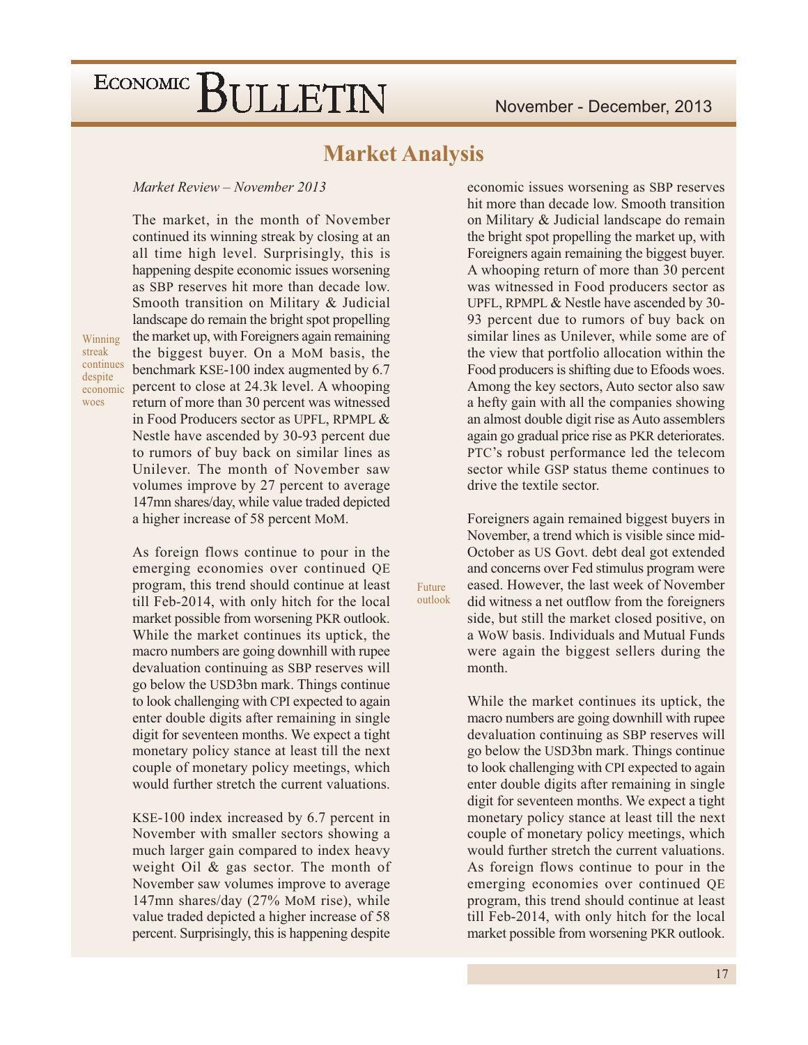### **Market Analysis**

Future outlook

#### Market Review - November 2013

The market, in the month of November continued its winning streak by closing at an all time high level. Surprisingly, this is happening despite economic issues worsening as SBP reserves hit more than decade low. Smooth transition on Military & Judicial landscape do remain the bright spot propelling the market up, with Foreigners again remaining the biggest buyer. On a MoM basis, the benchmark KSE-100 index augmented by 6.7 economic percent to close at 24.3k level. A whooping return of more than 30 percent was witnessed in Food Producers sector as UPFL, RPMPL & Nestle have ascended by 30-93 percent due to rumors of buy back on similar lines as Unilever. The month of November saw volumes improve by 27 percent to average 147mn shares/day, while value traded depicted a higher increase of 58 percent MoM.

Winning streak continues despite woes

> As foreign flows continue to pour in the emerging economies over continued QE program, this trend should continue at least till Feb-2014, with only hitch for the local market possible from worsening PKR outlook. While the market continues its uptick, the macro numbers are going downhill with rupee devaluation continuing as SBP reserves will go below the USD3bn mark. Things continue to look challenging with CPI expected to again enter double digits after remaining in single digit for seventeen months. We expect a tight monetary policy stance at least till the next couple of monetary policy meetings, which would further stretch the current valuations.

> KSE-100 index increased by 6.7 percent in November with smaller sectors showing a much larger gain compared to index heavy weight Oil  $\&$  gas sector. The month of November saw volumes improve to average 147mn shares/day (27% MoM rise), while value traded depicted a higher increase of 58 percent. Surprisingly, this is happening despite

economic issues worsening as SBP reserves hit more than decade low. Smooth transition on Military & Judicial landscape do remain the bright spot propelling the market up, with Foreigners again remaining the biggest buyer. A whooping return of more than 30 percent was witnessed in Food producers sector as UPFL, RPMPL & Nestle have ascended by 30-93 percent due to rumors of buy back on similar lines as Unilever, while some are of the view that portfolio allocation within the Food producers is shifting due to Efoods woes. Among the key sectors, Auto sector also saw a hefty gain with all the companies showing an almost double digit rise as Auto assemblers again go gradual price rise as PKR deteriorates. PTC's robust performance led the telecom sector while GSP status theme continues to drive the textile sector.

Foreigners again remained biggest buyers in November, a trend which is visible since mid-October as US Govt. debt deal got extended and concerns over Fed stimulus program were eased. However, the last week of November did witness a net outflow from the foreigners side, but still the market closed positive, on a WoW basis. Individuals and Mutual Funds were again the biggest sellers during the month.

While the market continues its uptick, the macro numbers are going downhill with rupee devaluation continuing as SBP reserves will go below the USD3bn mark. Things continue to look challenging with CPI expected to again enter double digits after remaining in single digit for seventeen months. We expect a tight monetary policy stance at least till the next couple of monetary policy meetings, which would further stretch the current valuations. As foreign flows continue to pour in the emerging economies over continued QE program, this trend should continue at least till Feb-2014, with only hitch for the local market possible from worsening PKR outlook.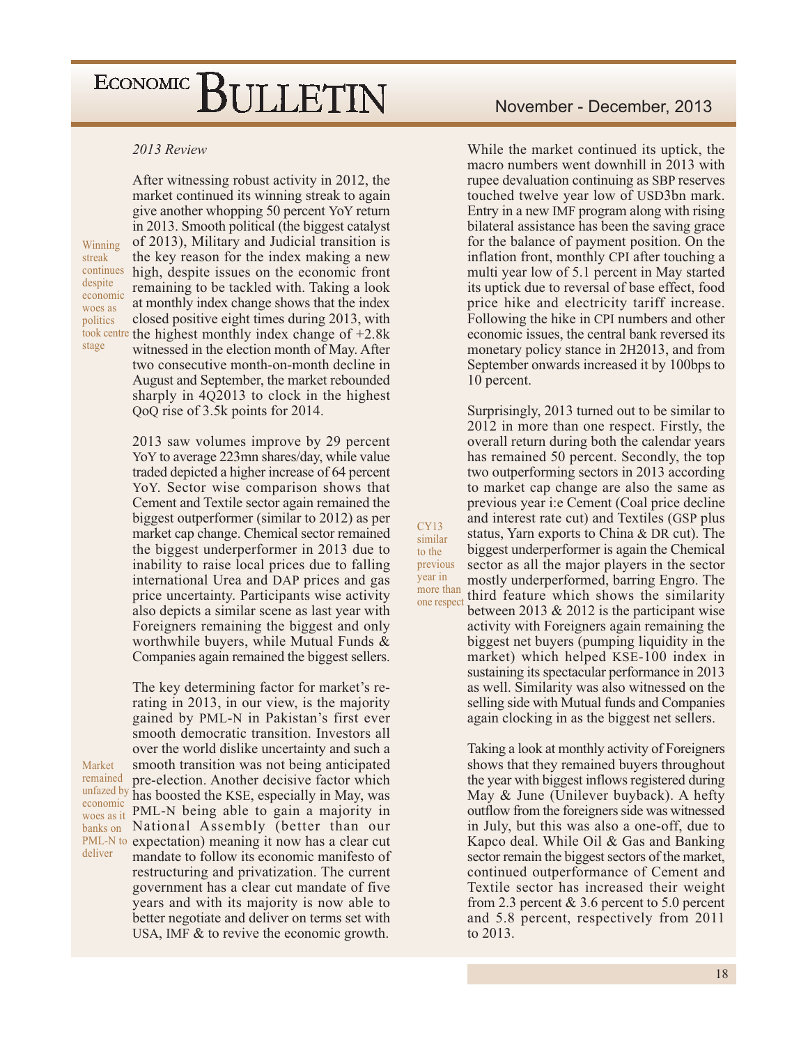#### 2013 Review

Winning streak continues despite economic woes as politics stage

Market

deliver

After witnessing robust activity in 2012, the market continued its winning streak to again give another whopping 50 percent YoY return in 2013. Smooth political (the biggest catalyst) of 2013), Military and Judicial transition is the key reason for the index making a new high, despite issues on the economic front remaining to be tackled with. Taking a look at monthly index change shows that the index closed positive eight times during 2013, with took centre the highest monthly index change of  $+2.8k$ witnessed in the election month of May. After two consecutive month-on-month decline in August and September, the market rebounded sharply in 4Q2013 to clock in the highest QoQ rise of 3.5k points for 2014.

> 2013 saw volumes improve by 29 percent YoY to average 223mn shares/day, while value traded depicted a higher increase of 64 percent YoY. Sector wise comparison shows that Cement and Textile sector again remained the biggest outperformer (similar to 2012) as per market cap change. Chemical sector remained the biggest underperformer in 2013 due to inability to raise local prices due to falling international Urea and DAP prices and gas price uncertainty. Participants wise activity also depicts a similar scene as last year with Foreigners remaining the biggest and only worthwhile buyers, while Mutual Funds & Companies again remained the biggest sellers.

 $CY13$ 

similar

to the

previous

more than

one respect

year in

The key determining factor for market's rerating in 2013, in our view, is the majority gained by PML-N in Pakistan's first ever smooth democratic transition. Investors all over the world dislike uncertainty and such a smooth transition was not being anticipated remained pre-election. Another decisive factor which unfazed by has boosted the KSE, especially in May, was economic PML-N being able to gain a majority in woes as it National Assembly (better than our banks on PML-N to expectation) meaning it now has a clear cut mandate to follow its economic manifesto of restructuring and privatization. The current government has a clear cut mandate of five years and with its majority is now able to better negotiate and deliver on terms set with USA, IMF  $&$  to revive the economic growth.

While the market continued its uptick, the macro numbers went downhill in 2013 with rupee devaluation continuing as SBP reserves touched twelve year low of USD3bn mark. Entry in a new IMF program along with rising bilateral assistance has been the saving grace for the balance of payment position. On the inflation front, monthly CPI after touching a multi year low of 5.1 percent in May started its uptick due to reversal of base effect, food price hike and electricity tariff increase. Following the hike in CPI numbers and other economic issues, the central bank reversed its monetary policy stance in 2H2013, and from September onwards increased it by 100bps to 10 percent.

Surprisingly, 2013 turned out to be similar to 2012 in more than one respect. Firstly, the overall return during both the calendar years has remained 50 percent. Secondly, the top two outperforming sectors in 2013 according to market cap change are also the same as previous year i: e Cement (Coal price decline) and interest rate cut) and Textiles (GSP plus status, Yarn exports to China & DR cut). The biggest underperformer is again the Chemical sector as all the major players in the sector mostly underperformed, barring Engro. The third feature which shows the similarity between 2013  $& 2012$  is the participant wise activity with Foreigners again remaining the biggest net buyers (pumping liquidity in the market) which helped KSE-100 index in sustaining its spectacular performance in 2013 as well. Similarity was also witnessed on the selling side with Mutual funds and Companies

Taking a look at monthly activity of Foreigners shows that they remained buyers throughout the year with biggest inflows registered during May & June (Unilever buyback). A hefty outflow from the foreigners side was witnessed in July, but this was also a one-off, due to Kapco deal. While Oil & Gas and Banking sector remain the biggest sectors of the market, continued outperformance of Cement and Textile sector has increased their weight from 2.3 percent  $& 3.6$  percent to 5.0 percent and 5.8 percent, respectively from 2011 to 2013.

again clocking in as the biggest net sellers.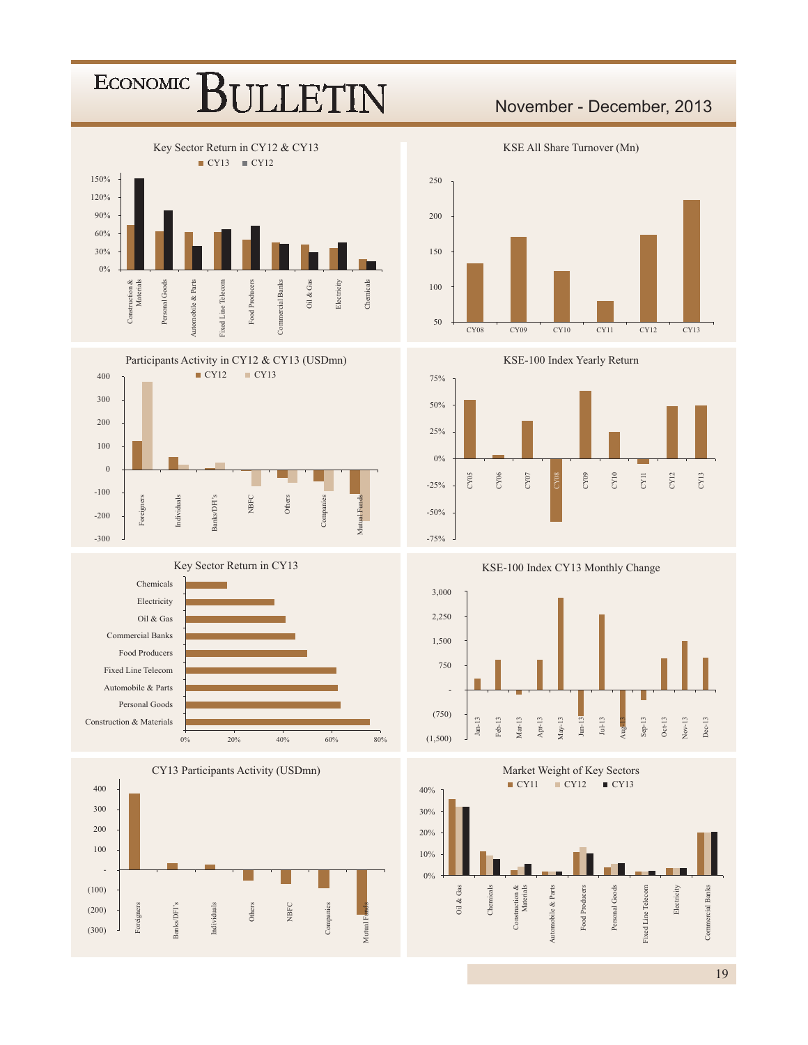





















November - December, 2013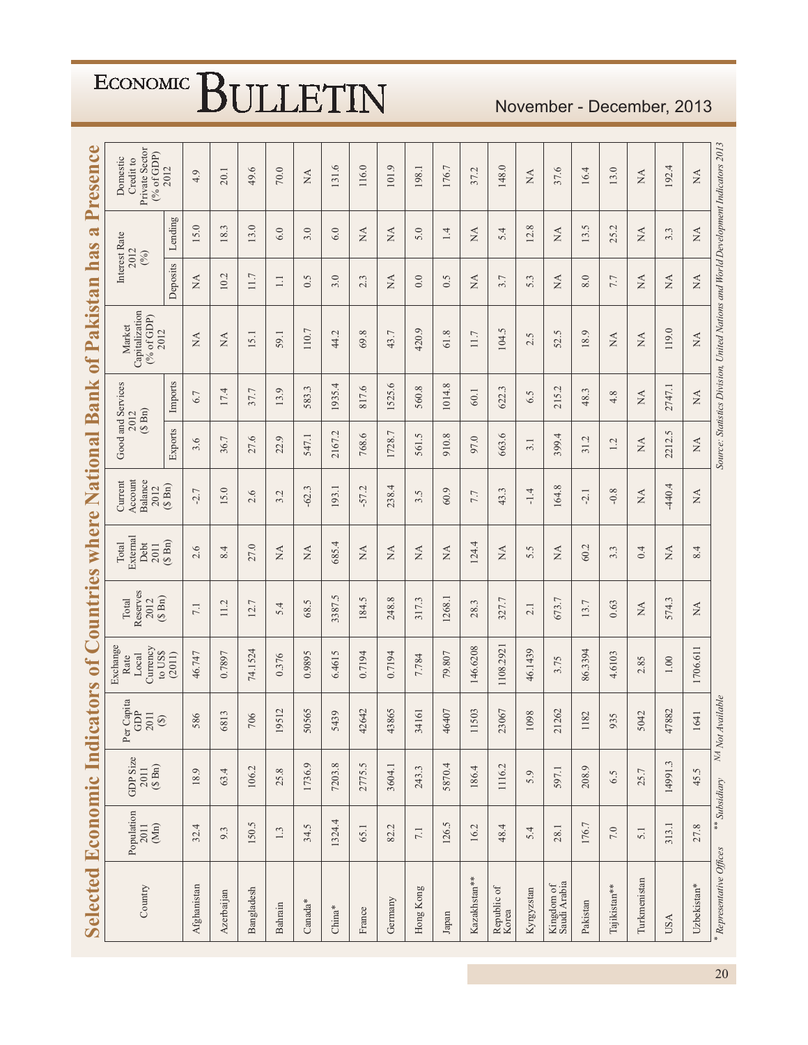| Selected Economic Indic    |                                                                    |                                              |                                                                                    | ators of Countries where National Bank           |                                         |                                   |                                       |                           |                | of Pakistan                                                                       | ha                             | $\mathbf{\tilde{d}}$<br>$\Omega$ | Presence                                              |
|----------------------------|--------------------------------------------------------------------|----------------------------------------------|------------------------------------------------------------------------------------|--------------------------------------------------|-----------------------------------------|-----------------------------------|---------------------------------------|---------------------------|----------------|-----------------------------------------------------------------------------------|--------------------------------|----------------------------------|-------------------------------------------------------|
| Country                    | $\begin{array}{c} \text{Population} \\ 2011 \end{array}$<br>$(Mn)$ | GDP Size<br>$2011$<br>$($ S Bn)<br>$($ S Bn) | Per Capita<br>GDP<br>2011<br>$\begin{array}{c} \textcircled{\small 3} \end{array}$ | Exchange<br>Currency<br>to US\$<br>Local<br>Rate | Reserves<br>$(S \nBn)$<br>Total<br>2012 | External<br>Total<br>Debt<br>2011 | Account<br>Balance<br>Current<br>2012 | Good and Services<br>2012 | $(S \nBn)$     | Capitalization<br>$(%$ of GDP)<br>Market<br>2012                                  | Interest Rate<br>2012<br>(%)   |                                  | Private Sector<br>(% of GDP)<br>Domestic<br>Credit to |
|                            |                                                                    |                                              |                                                                                    | (2011)                                           |                                         | $(S \nBn)$                        | $(S \nBn)$                            | Exports                   | Imports        |                                                                                   | Deposits                       | Lending                          | 2012                                                  |
| Afghanistan                | 32.4                                                               | 18.9                                         | 586                                                                                | 46.747                                           | 7.1                                     | 2.6                               | $-2.7$                                | 3.6                       | 6.7            | $\stackrel{\Delta}{\approx}$                                                      | $\stackrel{\Delta}{\approx}$   | 15.0                             | 4.9                                                   |
| Azerbaijan                 | 9.3                                                                | 63.4                                         | 6813                                                                               | 0.7897                                           | 11.2                                    | 8.4                               | 15.0                                  | 36.7                      | 17.4           | ΧÁ                                                                                | 10.2                           | 18.3                             | 20.1                                                  |
| Bangladesh                 | 150.5                                                              | 106.2                                        | 706                                                                                | 74.1524                                          | Γ.<br>12.                               | 27.0                              | $\circ$<br>$\sim$                     | 27.6                      | 37.7           | 15.1                                                                              | $11.7$                         | 13.0                             | $\ddot{\circ}$<br>49.                                 |
| Bahrain                    | 1.3                                                                | 25.8                                         | 19512                                                                              | 0.376                                            | 5.4                                     | <b>NA</b>                         | 3.2                                   | $\circ$<br>22.            | $\circ$<br>13. | 59.1                                                                              | $\Box$                         | 6.0                              | $70.0\,$                                              |
| Canada*                    | 34.5                                                               | 1736.9                                       | 50565                                                                              | 0.9895                                           | 68.5                                    | $\stackrel{\triangle}{\simeq}$    | $-62.3$                               | 547.1                     | 583.3          | 110.7                                                                             | 0.5                            | 3.0                              | $\stackrel{\triangle}{\simeq}$                        |
| $China*$                   | 1324.4                                                             | 7203.8                                       | 5439                                                                               | 6.4615                                           | 3387.5                                  | 685.4                             | 193.1                                 | L,<br>2167                | 1935.4         | 44.2                                                                              | 3.0                            | 6.0                              | 131.6                                                 |
| France                     | 65.1                                                               | 2775.5                                       | 42642                                                                              | 0.7194                                           | 184.5                                   | $\stackrel{\triangle}{\simeq}$    | $-57.2$                               | 768.6                     | 817.6          | 69.8                                                                              | 2.3                            | $\stackrel{\Delta}{\simeq}$      | 116.0                                                 |
| Germany                    | 82.2                                                               | 3604.1                                       | 43865                                                                              | 0.7194                                           | 248.8                                   | $\stackrel{\Delta}{\approx}$      | 238.4                                 | 1728.7                    | 1525.6         | 43.7                                                                              | $\stackrel{\Delta}{\approx}$   | $\stackrel{\Delta}{\approx}$     | 101.9                                                 |
| Hong Kong                  | $7.1\,$                                                            | 243.3                                        | 34161                                                                              | 7.784                                            | 317.3                                   | $\mathbb{X}^{\mathsf{A}}$         | S.<br>2.                              | Ċ.<br>561.                | 560.8          | 420.9                                                                             | 0.0                            | 5.0                              | 198.1                                                 |
| Japan                      | 126.5                                                              | 5870.4                                       | 46407                                                                              | 79.807                                           | 1268.1                                  | $\mathbb{A}$                      | 60.9                                  | 910.8                     | 1014.8         | 61.8                                                                              | 0.5                            | 1.4                              | 176.7                                                 |
| Kazakhstan**               | 16.2                                                               | 186.4                                        | 503<br>$\equiv$                                                                    | 146.6208                                         | 28.3                                    | 124.4                             | 7.7                                   | 97.0                      | 60.1           | 11.7                                                                              | $\lesssim$                     | $\lesssim$                       | 37.2                                                  |
| Republic of<br>Korea       | 48.4                                                               | 1116.2                                       | 23067                                                                              | 1108.2921                                        | 327.7                                   | $\mathbb{A}$                      | 43.3                                  | 9.<br>663.                | Ċ.<br>622.     | S<br>104.                                                                         | 3.7                            | 5.4                              | 148.0                                                 |
| Kyrgyzstan                 | 5.4                                                                | 5.9                                          | 1098                                                                               | 46.1439                                          | 2.1                                     | 5.5                               | $-1.4$                                | 3.1                       | 6.5            | 2.5                                                                               | 5.3                            | 12.8                             | <b>NA</b>                                             |
| Kingdom of<br>Saudi Arabia | 28.1                                                               | 597.1                                        | 1262<br>$\mathcal{L}$                                                              | 3.75                                             | 673.7                                   | $\stackrel{\Delta}{\approx}$      | 164.8                                 | 4<br>399.                 | L,<br>215.     | Ċ.<br>52.                                                                         | $\stackrel{\Delta}{\approx}$   | $\stackrel{\Delta}{\simeq}$      | 37.6                                                  |
| Pakistan                   | 176.7                                                              | 208.9                                        | 1182                                                                               | 86.3394                                          | 13.7                                    | 60.2                              | $-2.1$                                | 31.2                      | Ċ.<br>48.      | 18.9                                                                              | 8.0                            | 13.5                             | 16.4                                                  |
| Tajikistan**               | $7.0\,$                                                            | 6.5                                          | 935                                                                                | 4,6103                                           | 0.63                                    | 3.3                               | $-0.8$                                | 1.2                       | 4.8            | $\stackrel{\Delta}{\simeq}$                                                       | 7.7                            | 25.2                             | 13.0                                                  |
| Turkmenistan               | 5.1                                                                | 25.7                                         | 5042                                                                               | 2.85                                             | NA                                      | 0.4                               | $\mathbb{A}$                          | NA                        | Á              | $\stackrel{\Delta}{\approx}$                                                      | $\stackrel{\Delta}{\approx}$   | $\stackrel{\Delta}{\approx}$     | $\stackrel{\Delta}{\simeq}$                           |
| <b>USA</b>                 | 313.1                                                              | 14991.3                                      | 47882                                                                              | $1.00\,$                                         | 574.3                                   | $\mathbb{A}$                      | $-440.4$                              | 2212.5                    | 2747.1         | 119.0                                                                             | $\stackrel{\triangle}{\simeq}$ | 3.3                              | 192.4                                                 |
| Uzbekistan*                | 27.8                                                               | 45.5                                         | 1641                                                                               | 1706.611                                         | NA                                      | 8.4                               | ₹                                     | $\tilde{M}$               | NA             | $\stackrel{\triangle}{\simeq}$                                                    | NA                             | NA                               | $\mathbb{R}^2$                                        |
| *Representative Offices    |                                                                    | ** Subsidiary                                | NA Not Available                                                                   |                                                  |                                         |                                   |                                       |                           |                | Source: Statistics Division, United Nations and World Development Indicators 2013 |                                |                                  |                                                       |

### November - December, 2013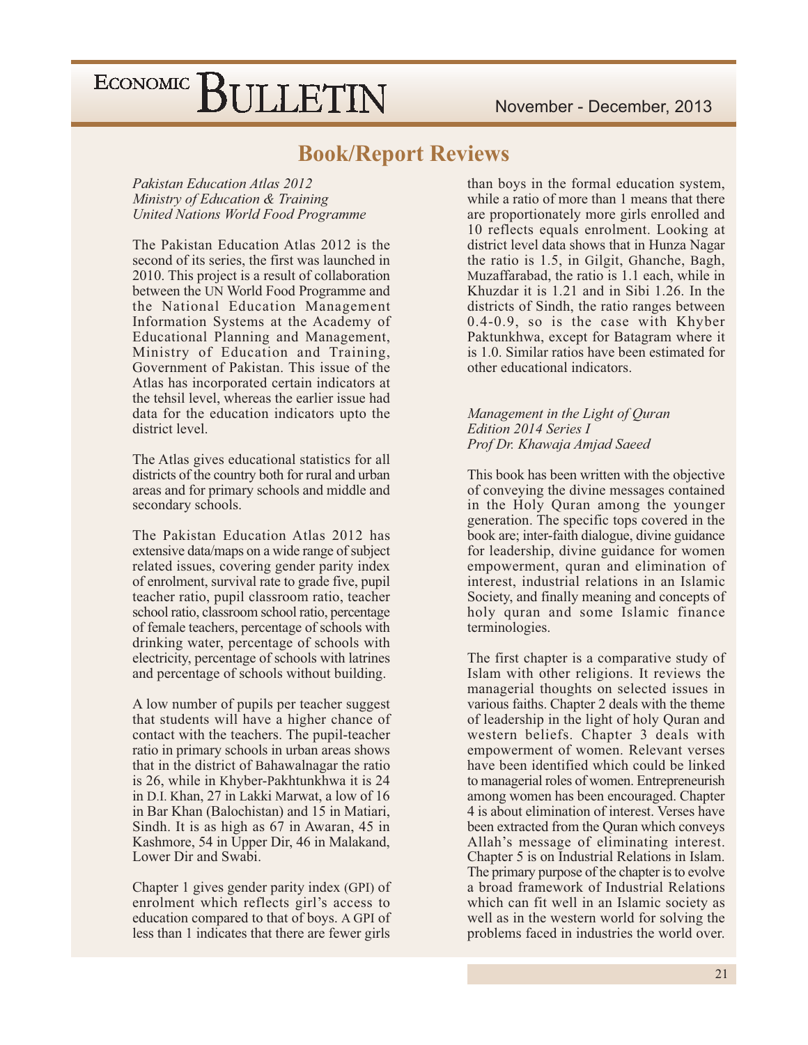### **Book/Report Reviews**

**Pakistan Education Atlas 2012** Ministry of Education & Training **United Nations World Food Programme** 

The Pakistan Education Atlas 2012 is the second of its series, the first was launched in 2010. This project is a result of collaboration between the UN World Food Programme and the National Education Management Information Systems at the Academy of Educational Planning and Management, Ministry of Education and Training, Government of Pakistan. This issue of the Atlas has incorporated certain indicators at the tehsil level, whereas the earlier issue had data for the education indicators upto the district level.

The Atlas gives educational statistics for all districts of the country both for rural and urban areas and for primary schools and middle and secondary schools.

The Pakistan Education Atlas 2012 has extensive data/maps on a wide range of subject related issues, covering gender parity index of enrolment, survival rate to grade five, pupil teacher ratio, pupil classroom ratio, teacher school ratio, classroom school ratio, percentage of female teachers, percentage of schools with drinking water, percentage of schools with electricity, percentage of schools with latrines and percentage of schools without building.

A low number of pupils per teacher suggest that students will have a higher chance of contact with the teachers. The pupil-teacher ratio in primary schools in urban areas shows that in the district of Bahawalnagar the ratio is 26, while in Khyber-Pakhtunkhwa it is 24 in D.I. Khan, 27 in Lakki Marwat, a low of 16 in Bar Khan (Balochistan) and 15 in Matiari, Sindh. It is as high as 67 in Awaran, 45 in Kashmore, 54 in Upper Dir, 46 in Malakand, Lower Dir and Swabi.

Chapter 1 gives gender parity index (GPI) of enrolment which reflects girl's access to education compared to that of boys. A GPI of less than 1 indicates that there are fewer girls

than boys in the formal education system, while a ratio of more than 1 means that there are proportionately more girls enrolled and 10 reflects equals enrolment. Looking at district level data shows that in Hunza Nagar the ratio is 1.5, in Gilgit, Ghanche, Bagh, Muzaffarabad, the ratio is 1.1 each, while in Khuzdar it is 1.21 and in Sibi 1.26. In the districts of Sindh, the ratio ranges between 0.4-0.9, so is the case with Khyber Paktunkhwa, except for Batagram where it is 1.0. Similar ratios have been estimated for other educational indicators.

#### Management in the Light of Quran Edition 2014 Series I Prof Dr. Khawaja Amjad Saeed

This book has been written with the objective of conveying the divine messages contained in the Holy Quran among the younger generation. The specific tops covered in the book are; inter-faith dialogue, divine guidance for leadership, divine guidance for women empowerment, quran and elimination of interest, industrial relations in an Islamic Society, and finally meaning and concepts of holy quran and some Islamic finance terminologies.

The first chapter is a comparative study of Islam with other religions. It reviews the managerial thoughts on selected issues in various faiths. Chapter 2 deals with the theme of leadership in the light of holy Quran and western beliefs. Chapter 3 deals with empowerment of women. Relevant verses have been identified which could be linked to managerial roles of women. Entrepreneurish among women has been encouraged. Chapter 4 is about elimination of interest. Verses have been extracted from the Quran which conveys Allah's message of eliminating interest. Chapter 5 is on Industrial Relations in Islam. The primary purpose of the chapter is to evolve a broad framework of Industrial Relations which can fit well in an Islamic society as well as in the western world for solving the problems faced in industries the world over.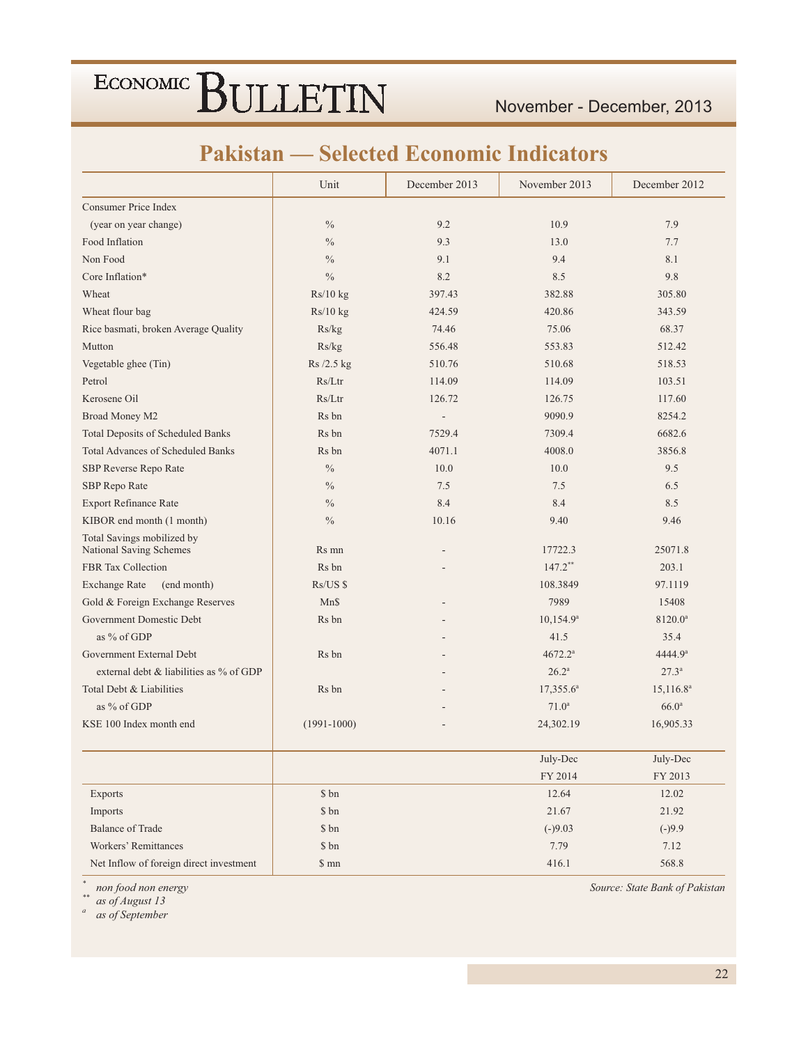### **Pakistan — Selected Economic Indicators**

|                                                       | Unit                        | December 2013  | November 2013         | December 2012       |
|-------------------------------------------------------|-----------------------------|----------------|-----------------------|---------------------|
| Consumer Price Index                                  |                             |                |                       |                     |
| (year on year change)                                 | $\frac{0}{0}$               | 9.2            | 10.9                  | 7.9                 |
| Food Inflation                                        | $\frac{0}{0}$               | 9.3            | 13.0                  | 7.7                 |
| Non Food                                              | $\frac{0}{0}$               | 9.1            | 9.4                   | 8.1                 |
| Core Inflation*                                       | $\frac{0}{0}$               | 8.2            | 8.5                   | 9.8                 |
| Wheat                                                 | Rs/10 kg                    | 397.43         | 382.88                | 305.80              |
| Wheat flour bag                                       | Rs/10 kg                    | 424.59         | 420.86                | 343.59              |
| Rice basmati, broken Average Quality                  | Rs/kg                       | 74.46          | 75.06                 | 68.37               |
| Mutton                                                | Rs/kg                       | 556.48         | 553.83                | 512.42              |
| Vegetable ghee (Tin)                                  | Rs/2.5 kg                   | 510.76         | 510.68                | 518.53              |
| Petrol                                                | Rs/Ltr                      | 114.09         | 114.09                | 103.51              |
| Kerosene Oil                                          | Rs/Ltr                      | 126.72         | 126.75                | 117.60              |
| Broad Money M2                                        | Rs bn                       | $\overline{a}$ | 9090.9                | 8254.2              |
| <b>Total Deposits of Scheduled Banks</b>              | Rs bn                       | 7529.4         | 7309.4                | 6682.6              |
| <b>Total Advances of Scheduled Banks</b>              | Rs bn                       | 4071.1         | 4008.0                | 3856.8              |
| SBP Reverse Repo Rate                                 | $\sqrt[0]{\hskip -1.0pt 0}$ | 10.0           | 10.0                  | 9.5                 |
| SBP Repo Rate                                         | $\frac{0}{0}$               | 7.5            | 7.5                   | 6.5                 |
| <b>Export Refinance Rate</b>                          | $\frac{0}{0}$               | 8.4            | 8.4                   | 8.5                 |
| KIBOR end month (1 month)                             | $\frac{0}{0}$               | 10.16          | 9.40                  | 9.46                |
| Total Savings mobilized by<br>National Saving Schemes | Rs mn                       |                | 17722.3               | 25071.8             |
| FBR Tax Collection                                    | Rs bn                       |                | $147.2$ <sup>**</sup> | 203.1               |
| <b>Exchange Rate</b><br>(end month)                   | $Rs/US$ \$                  |                | 108.3849              | 97.1119             |
| Gold & Foreign Exchange Reserves                      | Mn\$                        |                | 7989                  | 15408               |
| Government Domestic Debt                              | Rs bn                       |                | $10,154.9^a$          | 8120.0 <sup>a</sup> |
| as % of GDP                                           |                             |                | 41.5                  | 35.4                |
| Government External Debt                              | Rs bn                       |                | 4672.2 <sup>a</sup>   | 4444.9 <sup>a</sup> |
| external debt & liabilities as % of GDP               |                             |                | $26.2^a$              | $27.3^{\circ}$      |
| Total Debt & Liabilities                              | Rs bn                       |                | $17,355.6^a$          | $15,116.8^a$        |
| as % of GDP                                           |                             |                | 71.0 <sup>a</sup>     | 66.0 <sup>a</sup>   |
| KSE 100 Index month end                               | $(1991 - 1000)$             |                | 24,302.19             | 16,905.33           |
|                                                       |                             |                | July-Dec              | July-Dec            |
|                                                       |                             |                | FY 2014               | FY 2013             |
| Exports                                               | \$ bn                       |                | 12.64                 | 12.02               |
| Imports                                               | \$ bn                       |                | 21.67                 | 21.92               |
| <b>Balance of Trade</b>                               | \$ bn                       |                | $(-)9.03$             | $(-)9.9$            |
| Workers' Remittances                                  | \$ bn                       |                | 7.79                  | 7.12                |
| Net Inflow of foreign direct investment               | \$ mn                       |                | 416.1                 | 568.8               |

non food non energy<br>as of August 13  $\ddot{\phantom{1}}$ 

 $\overline{a}$ as of September Source: State Bank of Pakistan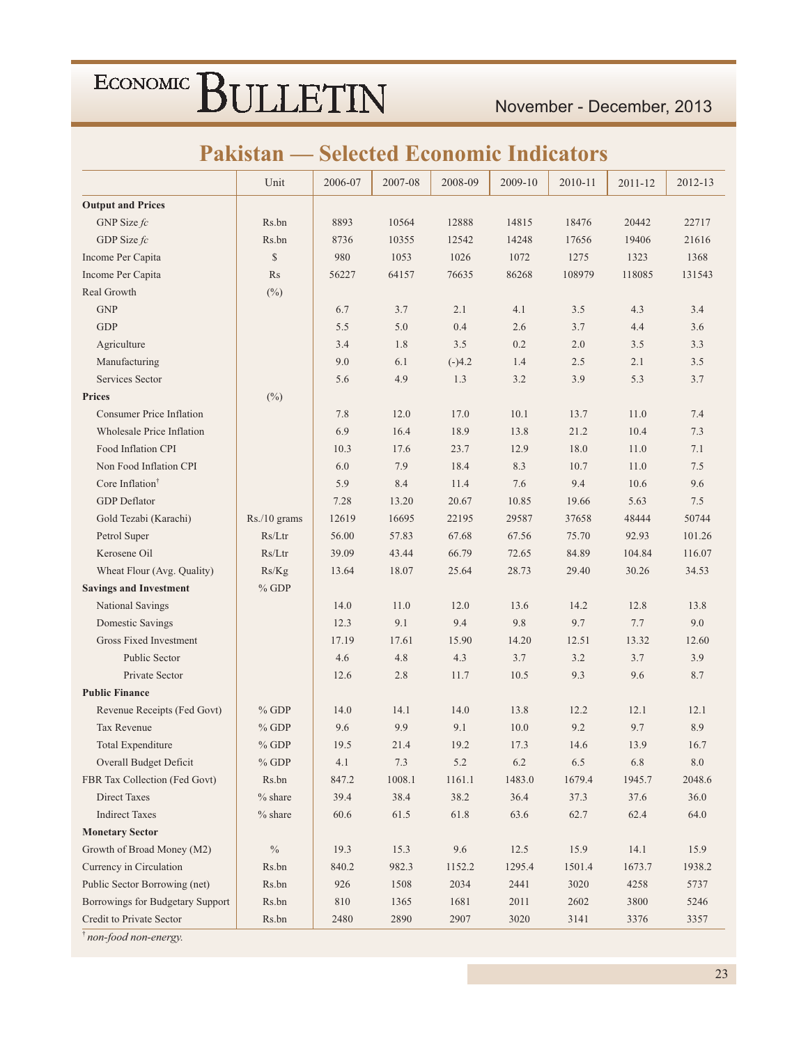November - December, 2013

### **Pakistan — Selected Economic Indicators**

|                                  | Unit         | 2006-07 | 2007-08 | 2008-09  | 2009-10 | 2010-11 | 2011-12 | 2012-13 |
|----------------------------------|--------------|---------|---------|----------|---------|---------|---------|---------|
| <b>Output and Prices</b>         |              |         |         |          |         |         |         |         |
| GNP Size $fc$                    | Rs.bn        | 8893    | 10564   | 12888    | 14815   | 18476   | 20442   | 22717   |
| GDP Size $fc$                    | Rs.bn        | 8736    | 10355   | 12542    | 14248   | 17656   | 19406   | 21616   |
| Income Per Capita                | $\mathbb{S}$ | 980     | 1053    | 1026     | 1072    | 1275    | 1323    | 1368    |
| Income Per Capita                | Rs           | 56227   | 64157   | 76635    | 86268   | 108979  | 118085  | 131543  |
| Real Growth                      | $(\%)$       |         |         |          |         |         |         |         |
| <b>GNP</b>                       |              | 6.7     | 3.7     | 2.1      | 4.1     | 3.5     | 4.3     | 3.4     |
| <b>GDP</b>                       |              | 5.5     | 5.0     | 0.4      | 2.6     | 3.7     | 4.4     | 3.6     |
| Agriculture                      |              | 3.4     | 1.8     | 3.5      | 0.2     | 2.0     | 3.5     | 3.3     |
| Manufacturing                    |              | 9.0     | 6.1     | $(-)4.2$ | 1.4     | 2.5     | 2.1     | 3.5     |
| Services Sector                  |              | 5.6     | 4.9     | 1.3      | 3.2     | 3.9     | 5.3     | 3.7     |
| <b>Prices</b>                    | $(\%)$       |         |         |          |         |         |         |         |
| <b>Consumer Price Inflation</b>  |              | 7.8     | 12.0    | 17.0     | 10.1    | 13.7    | 11.0    | 7.4     |
| <b>Wholesale Price Inflation</b> |              | 6.9     | 16.4    | 18.9     | 13.8    | 21.2    | 10.4    | 7.3     |
| Food Inflation CPI               |              | 10.3    | 17.6    | 23.7     | 12.9    | 18.0    | 11.0    | 7.1     |
| Non Food Inflation CPI           |              | 6.0     | 7.9     | 18.4     | 8.3     | 10.7    | 11.0    | 7.5     |
| Core Inflation <sup>†</sup>      |              | 5.9     | 8.4     | 11.4     | 7.6     | 9.4     | 10.6    | 9.6     |
| <b>GDP</b> Deflator              |              | 7.28    | 13.20   | 20.67    | 10.85   | 19.66   | 5.63    | 7.5     |
| Gold Tezabi (Karachi)            | Rs./10 grams | 12619   | 16695   | 22195    | 29587   | 37658   | 48444   | 50744   |
| Petrol Super                     | Rs/Ltr       | 56.00   | 57.83   | 67.68    | 67.56   | 75.70   | 92.93   | 101.26  |
| Kerosene Oil                     | Rs/Ltr       | 39.09   | 43.44   | 66.79    | 72.65   | 84.89   | 104.84  | 116.07  |
| Wheat Flour (Avg. Quality)       | Rs/Kg        | 13.64   | 18.07   | 25.64    | 28.73   | 29.40   | 30.26   | 34.53   |
| <b>Savings and Investment</b>    | $%$ GDP      |         |         |          |         |         |         |         |
| National Savings                 |              | 14.0    | 11.0    | 12.0     | 13.6    | 14.2    | 12.8    | 13.8    |
| <b>Domestic Savings</b>          |              | 12.3    | 9.1     | 9.4      | 9.8     | 9.7     | 7.7     | 9.0     |
| <b>Gross Fixed Investment</b>    |              | 17.19   | 17.61   | 15.90    | 14.20   | 12.51   | 13.32   | 12.60   |
| Public Sector                    |              | 4.6     | 4.8     | 4.3      | 3.7     | 3.2     | 3.7     | 3.9     |
| Private Sector                   |              | 12.6    | 2.8     | 11.7     | 10.5    | 9.3     | 9.6     | 8.7     |
| <b>Public Finance</b>            |              |         |         |          |         |         |         |         |
| Revenue Receipts (Fed Govt)      | $%$ GDP      | 14.0    | 14.1    | 14.0     | 13.8    | 12.2    | 12.1    | 12.1    |
| Tax Revenue                      | $%$ GDP      | 9.6     | 9.9     | 9.1      | 10.0    | 9.2     | 9.7     | 8.9     |
| <b>Total Expenditure</b>         | $%$ GDP      | 19.5    | 21.4    | 19.2     | 17.3    | 14.6    | 13.9    | 16.7    |
| Overall Budget Deficit           | $\%$ GDP     | 4.1     | $7.3\,$ | $5.2\,$  | 6.2     | 6.5     | 6.8     | $8.0\,$ |
| FBR Tax Collection (Fed Govt)    | Rs.bn        | 847.2   | 1008.1  | 1161.1   | 1483.0  | 1679.4  | 1945.7  | 2048.6  |
| Direct Taxes                     | $%$ share    | 39.4    | 38.4    | 38.2     | 36.4    | 37.3    | 37.6    | 36.0    |
| <b>Indirect Taxes</b>            | $%$ share    | 60.6    | 61.5    | 61.8     | 63.6    | 62.7    | 62.4    | 64.0    |
| <b>Monetary Sector</b>           |              |         |         |          |         |         |         |         |
| Growth of Broad Money (M2)       | $\%$         | 19.3    | 15.3    | 9.6      | 12.5    | 15.9    | 14.1    | 15.9    |
| Currency in Circulation          | Rs.bn        | 840.2   | 982.3   | 1152.2   | 1295.4  | 1501.4  | 1673.7  | 1938.2  |
| Public Sector Borrowing (net)    | Rs.bn        | 926     | 1508    | 2034     | 2441    | 3020    | 4258    | 5737    |
| Borrowings for Budgetary Support | Rs.bn        | 810     | 1365    | 1681     | 2011    | 2602    | 3800    | 5246    |
| Credit to Private Sector         | Rs.bn        | 2480    | 2890    | 2907     | 3020    | 3141    | 3376    | 3357    |

<sup>†</sup> non-food non-energy.